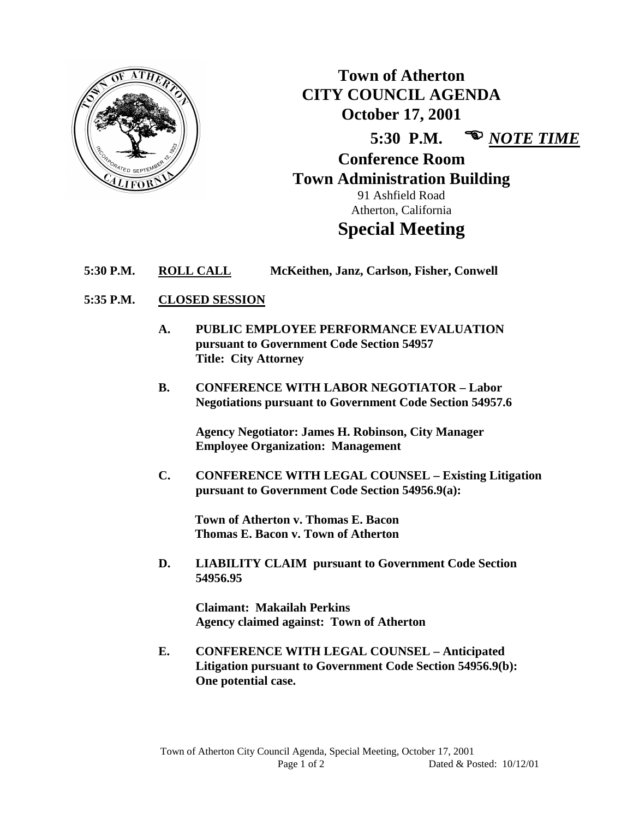

**Town of Atherton CITY COUNCIL AGENDA October 17, 2001 5:30 P.M.**  *NOTE TIME* **Conference Room Town Administration Building**

91 Ashfield Road Atherton, California

# **Special Meeting**

**5:30 P.M. ROLL CALL McKeithen, Janz, Carlson, Fisher, Conwell**

## **5:35 P.M. CLOSED SESSION**

- **A. PUBLIC EMPLOYEE PERFORMANCE EVALUATION pursuant to Government Code Section 54957 Title: City Attorney**
- **B. CONFERENCE WITH LABOR NEGOTIATOR – Labor Negotiations pursuant to Government Code Section 54957.6**

**Agency Negotiator: James H. Robinson, City Manager Employee Organization: Management**

**C. CONFERENCE WITH LEGAL COUNSEL – Existing Litigation pursuant to Government Code Section 54956.9(a):**

**Town of Atherton v. Thomas E. Bacon Thomas E. Bacon v. Town of Atherton**

**D. LIABILITY CLAIM pursuant to Government Code Section 54956.95**

> **Claimant: Makailah Perkins Agency claimed against: Town of Atherton**

**E. CONFERENCE WITH LEGAL COUNSEL – Anticipated Litigation pursuant to Government Code Section 54956.9(b): One potential case.**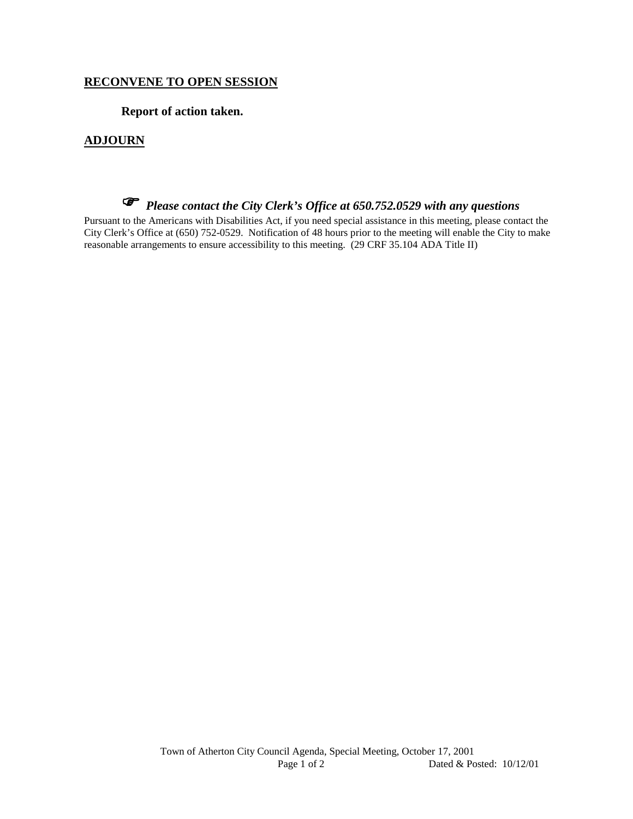## **RECONVENE TO OPEN SESSION**

**Report of action taken.**

## **ADJOURN**

# *Please contact the City Clerk's Office at 650.752.0529 with any questions*

Pursuant to the Americans with Disabilities Act, if you need special assistance in this meeting, please contact the City Clerk's Office at (650) 752-0529. Notification of 48 hours prior to the meeting will enable the City to make reasonable arrangements to ensure accessibility to this meeting. (29 CRF 35.104 ADA Title II)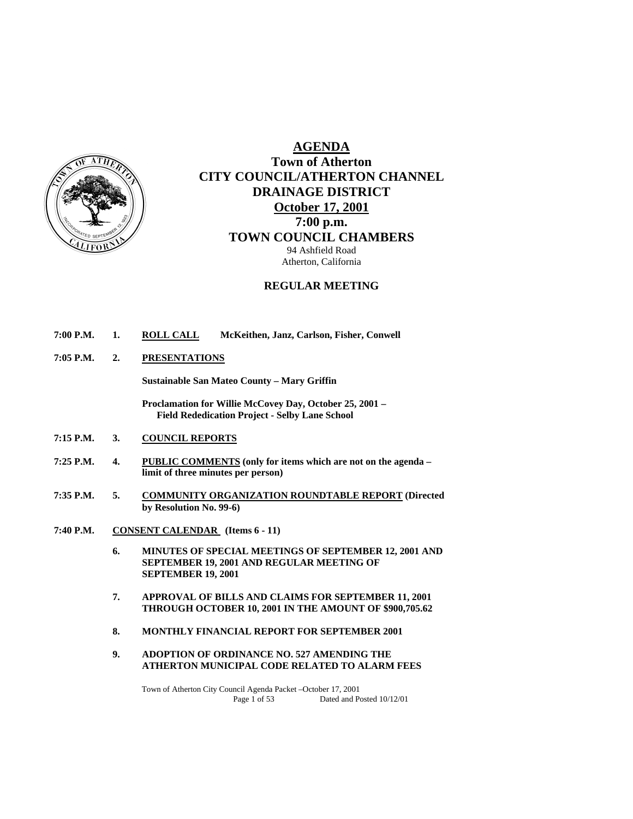

## **AGENDA Town of Atherton CITY COUNCIL/ATHERTON CHANNEL DRAINAGE DISTRICT October 17, 2001 7:00 p.m. TOWN COUNCIL CHAMBERS** 94 Ashfield Road Atherton, California

## **REGULAR MEETING**

- **7:00 P.M. 1. ROLL CALL McKeithen, Janz, Carlson, Fisher, Conwell**
- **7:05 P.M. 2. PRESENTATIONS**

 **Sustainable San Mateo County – Mary Griffin** 

 **Proclamation for Willie McCovey Day, October 25, 2001 – Field Rededication Project - Selby Lane School** 

- **7:15 P.M. 3. COUNCIL REPORTS**
- **7:25 P.M. 4. PUBLIC COMMENTS (only for items which are not on the agenda limit of three minutes per person)**
- **7:35 P.M. 5. COMMUNITY ORGANIZATION ROUNDTABLE REPORT (Directed by Resolution No. 99-6)**
- **7:40 P.M. CONSENT CALENDAR (Items 6 11)** 
	- **6. MINUTES OF SPECIAL MEETINGS OF SEPTEMBER 12, 2001 AND SEPTEMBER 19, 2001 AND REGULAR MEETING OF SEPTEMBER 19, 2001**
	- **7. APPROVAL OF BILLS AND CLAIMS FOR SEPTEMBER 11, 2001 THROUGH OCTOBER 10, 2001 IN THE AMOUNT OF \$900,705.62**
	- **8. MONTHLY FINANCIAL REPORT FOR SEPTEMBER 2001**
	- **9. ADOPTION OF ORDINANCE NO. 527 AMENDING THE ATHERTON MUNICIPAL CODE RELATED TO ALARM FEES**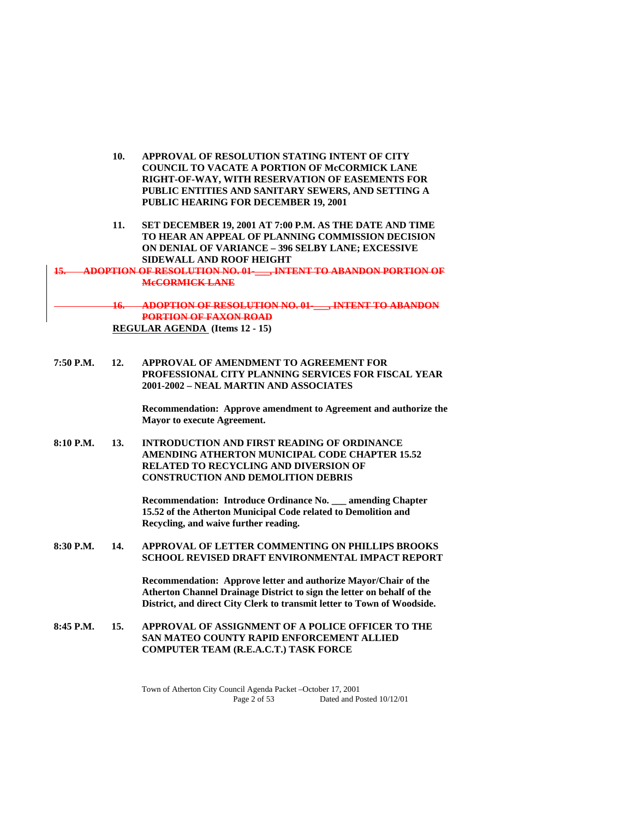| 10. | APPROVAL OF RESOLUTION STATING INTENT OF CITY        |
|-----|------------------------------------------------------|
|     | <b>COUNCIL TO VACATE A PORTION OF McCORMICK LANE</b> |
|     | RIGHT-OF-WAY, WITH RESERVATION OF EASEMENTS FOR      |
|     | PUBLIC ENTITIES AND SANITARY SEWERS, AND SETTING A   |
|     | PUBLIC HEARING FOR DECEMBER 19, 2001                 |

**11. SET DECEMBER 19, 2001 AT 7:00 P.M. AS THE DATE AND TIME TO HEAR AN APPEAL OF PLANNING COMMISSION DECISION ON DENIAL OF VARIANCE – 396 SELBY LANE; EXCESSIVE SIDEWALL AND ROOF HEIGHT** 

**15. ADOPTION OF RESOLUTION NO. 01-\_\_\_, INTENT TO ABANDON PORTION OF McCORMICK LANE**

> **16. ADOPTION OF RESOLUTION NO. 01-\_\_\_, INTENT TO ABANDON PORTION OF FAXON ROAD REGULAR AGENDA (Items 12 - 15)**

**7:50 P.M. 12. APPROVAL OF AMENDMENT TO AGREEMENT FOR PROFESSIONAL CITY PLANNING SERVICES FOR FISCAL YEAR 2001-2002 – NEAL MARTIN AND ASSOCIATES** 

> **Recommendation: Approve amendment to Agreement and authorize the Mayor to execute Agreement.**

**8:10 P.M. 13. INTRODUCTION AND FIRST READING OF ORDINANCE AMENDING ATHERTON MUNICIPAL CODE CHAPTER 15.52 RELATED TO RECYCLING AND DIVERSION OF CONSTRUCTION AND DEMOLITION DEBRIS**

> **Recommendation: Introduce Ordinance No. \_\_\_ amending Chapter 15.52 of the Atherton Municipal Code related to Demolition and Recycling, and waive further reading.**

**8:30 P.M. 14. APPROVAL OF LETTER COMMENTING ON PHILLIPS BROOKS SCHOOL REVISED DRAFT ENVIRONMENTAL IMPACT REPORT** 

> **Recommendation: Approve letter and authorize Mayor/Chair of the Atherton Channel Drainage District to sign the letter on behalf of the District, and direct City Clerk to transmit letter to Town of Woodside.**

**8:45 P.M. 15. APPROVAL OF ASSIGNMENT OF A POLICE OFFICER TO THE SAN MATEO COUNTY RAPID ENFORCEMENT ALLIED COMPUTER TEAM (R.E.A.C.T.) TASK FORCE**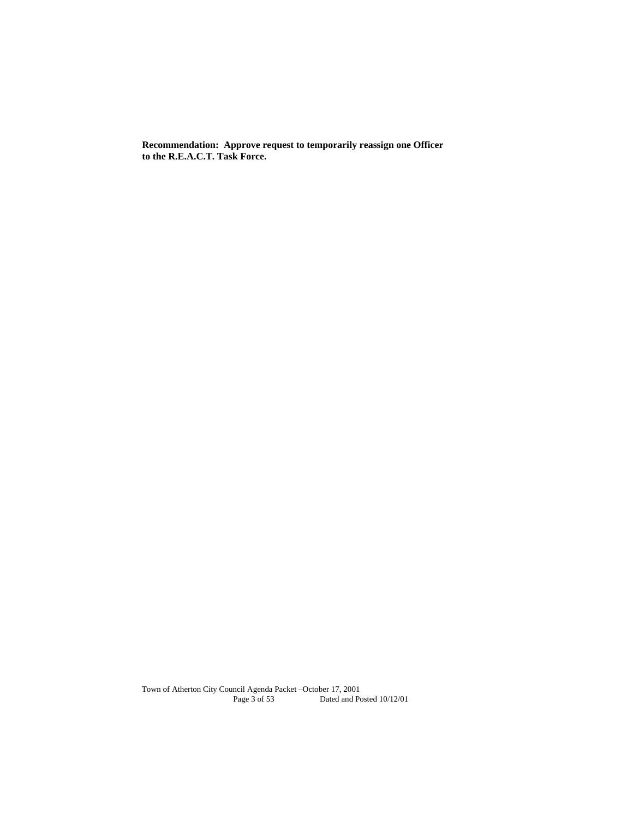**Recommendation: Approve request to temporarily reassign one Officer to the R.E.A.C.T. Task Force.**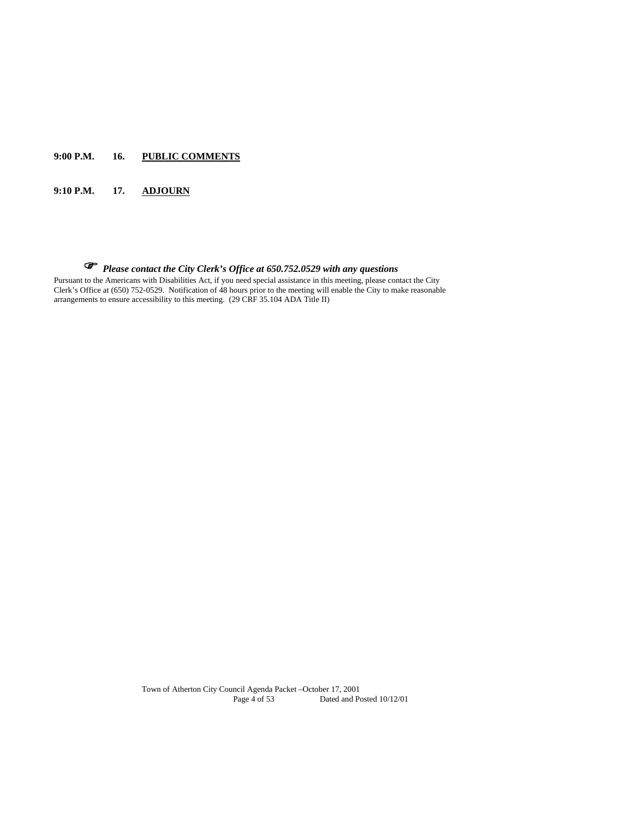## **9:00 P.M. 16. PUBLIC COMMENTS**

## **9:10 P.M. 17. ADJOURN**

## *Please contact the City Clerk's Office at 650.752.0529 with any questions*

Pursuant to the Americans with Disabilities Act, if you need special assistance in this meeting, please contact the City Clerk's Office at (650) 752-0529. Notification of 48 hours prior to the meeting will enable the City to make reasonable arrangements to ensure accessibility to this meeting. (29 CRF 35.104 ADA Title II)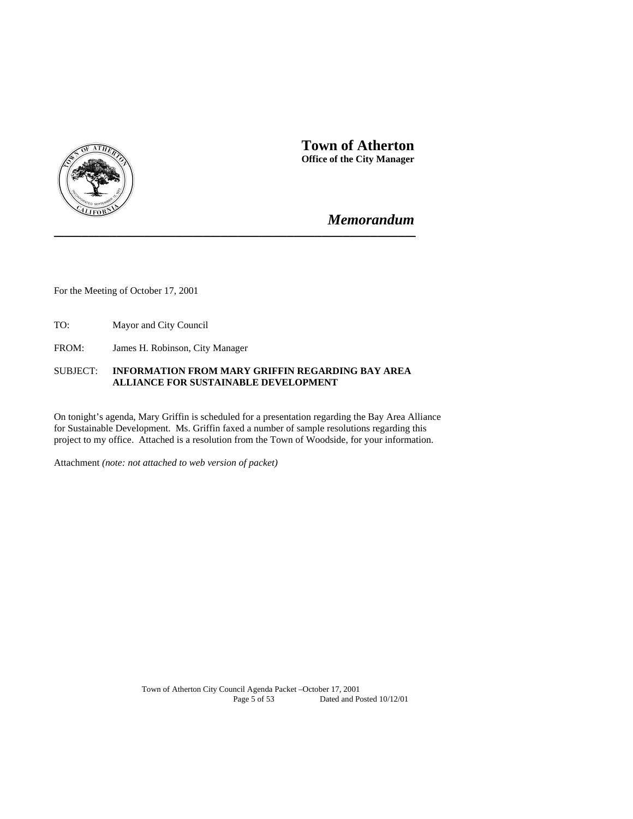

 **Town of Atherton Office of the City Manager** 

## *Memorandum*

For the Meeting of October 17, 2001

TO: Mayor and City Council

FROM: James H. Robinson, City Manager

## SUBJECT: **INFORMATION FROM MARY GRIFFIN REGARDING BAY AREA ALLIANCE FOR SUSTAINABLE DEVELOPMENT**

**\_\_\_\_\_\_\_\_\_\_\_\_\_\_\_\_\_\_\_\_\_\_\_\_\_\_\_\_\_\_\_\_\_\_\_\_\_\_\_\_\_\_\_\_\_\_\_\_\_\_\_\_\_\_\_\_\_\_\_\_\_\_\_\_\_\_\_\_\_\_\_\_\_\_\_\_\_\_\_\_\_\_\_\_\_\_\_\_\_\_\_\_\_\_\_\_\_\_\_\_\_\_\_\_**

On tonight's agenda, Mary Griffin is scheduled for a presentation regarding the Bay Area Alliance for Sustainable Development. Ms. Griffin faxed a number of sample resolutions regarding this project to my office. Attached is a resolution from the Town of Woodside, for your information.

Attachment *(note: not attached to web version of packet)*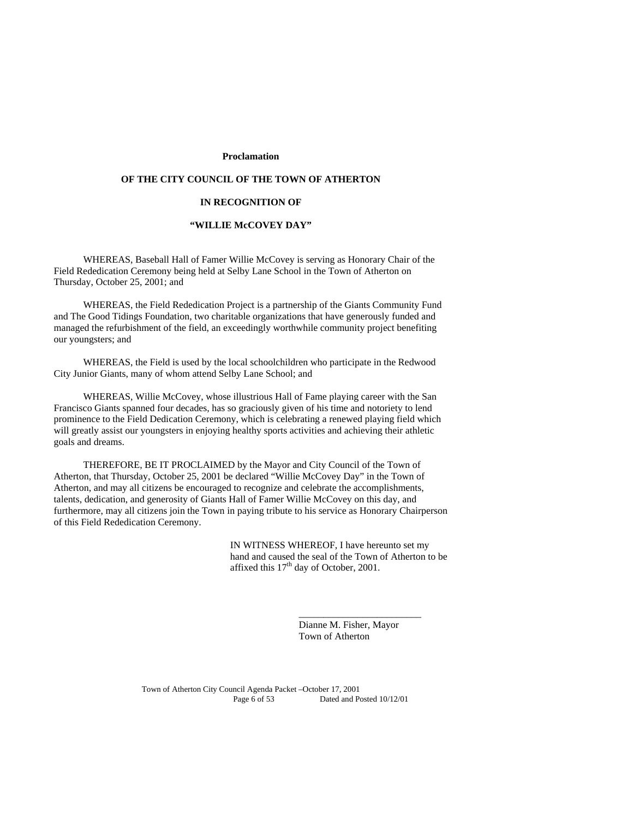#### **Proclamation**

## **OF THE CITY COUNCIL OF THE TOWN OF ATHERTON**

#### **IN RECOGNITION OF**

#### **"WILLIE McCOVEY DAY"**

 WHEREAS, Baseball Hall of Famer Willie McCovey is serving as Honorary Chair of the Field Rededication Ceremony being held at Selby Lane School in the Town of Atherton on Thursday, October 25, 2001; and

 WHEREAS, the Field Rededication Project is a partnership of the Giants Community Fund and The Good Tidings Foundation, two charitable organizations that have generously funded and managed the refurbishment of the field, an exceedingly worthwhile community project benefiting our youngsters; and

 WHEREAS, the Field is used by the local schoolchildren who participate in the Redwood City Junior Giants, many of whom attend Selby Lane School; and

 WHEREAS, Willie McCovey, whose illustrious Hall of Fame playing career with the San Francisco Giants spanned four decades, has so graciously given of his time and notoriety to lend prominence to the Field Dedication Ceremony, which is celebrating a renewed playing field which will greatly assist our youngsters in enjoying healthy sports activities and achieving their athletic goals and dreams.

 THEREFORE, BE IT PROCLAIMED by the Mayor and City Council of the Town of Atherton, that Thursday, October 25, 2001 be declared "Willie McCovey Day" in the Town of Atherton, and may all citizens be encouraged to recognize and celebrate the accomplishments, talents, dedication, and generosity of Giants Hall of Famer Willie McCovey on this day, and furthermore, may all citizens join the Town in paying tribute to his service as Honorary Chairperson of this Field Rededication Ceremony.

> IN WITNESS WHEREOF, I have hereunto set my hand and caused the seal of the Town of Atherton to be affixed this  $17<sup>th</sup>$  day of October, 2001.

> > Dianne M. Fisher, Mayor Town of Atherton

\_\_\_\_\_\_\_\_\_\_\_\_\_\_\_\_\_\_\_\_\_\_\_\_\_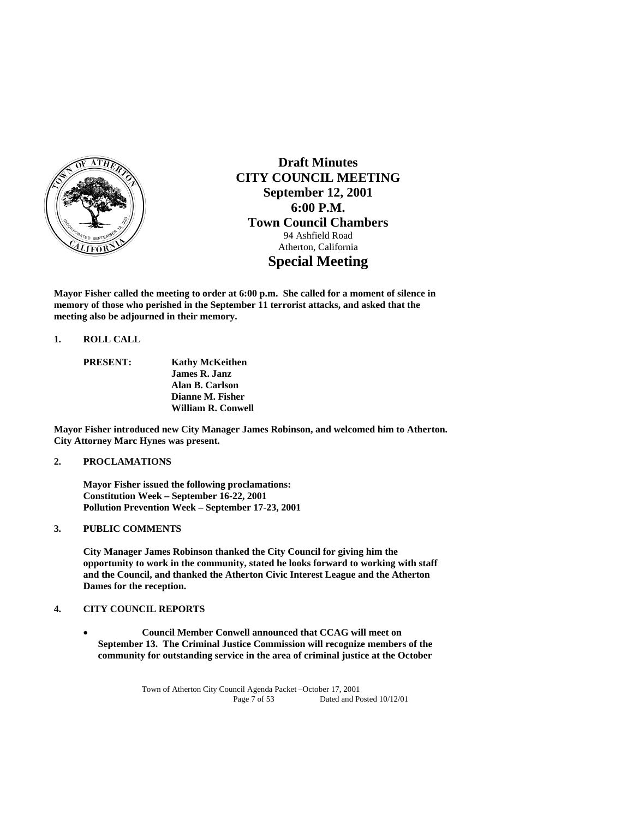

**Draft Minutes CITY COUNCIL MEETING September 12, 2001 6:00 P.M. Town Council Chambers**  94 Ashfield Road Atherton, California **Special Meeting** 

**Mayor Fisher called the meeting to order at 6:00 p.m. She called for a moment of silence in memory of those who perished in the September 11 terrorist attacks, and asked that the meeting also be adjourned in their memory.** 

#### **1. ROLL CALL**

 **PRESENT: Kathy McKeithen James R. Janz Alan B. Carlson Dianne M. Fisher William R. Conwell** 

**Mayor Fisher introduced new City Manager James Robinson, and welcomed him to Atherton. City Attorney Marc Hynes was present.** 

## **2. PROCLAMATIONS**

 **Mayor Fisher issued the following proclamations: Constitution Week – September 16-22, 2001 Pollution Prevention Week – September 17-23, 2001** 

## **3. PUBLIC COMMENTS**

 **City Manager James Robinson thanked the City Council for giving him the opportunity to work in the community, stated he looks forward to working with staff and the Council, and thanked the Atherton Civic Interest League and the Atherton Dames for the reception.** 

## **4. CITY COUNCIL REPORTS**

 **Council Member Conwell announced that CCAG will meet on September 13. The Criminal Justice Commission will recognize members of the community for outstanding service in the area of criminal justice at the October**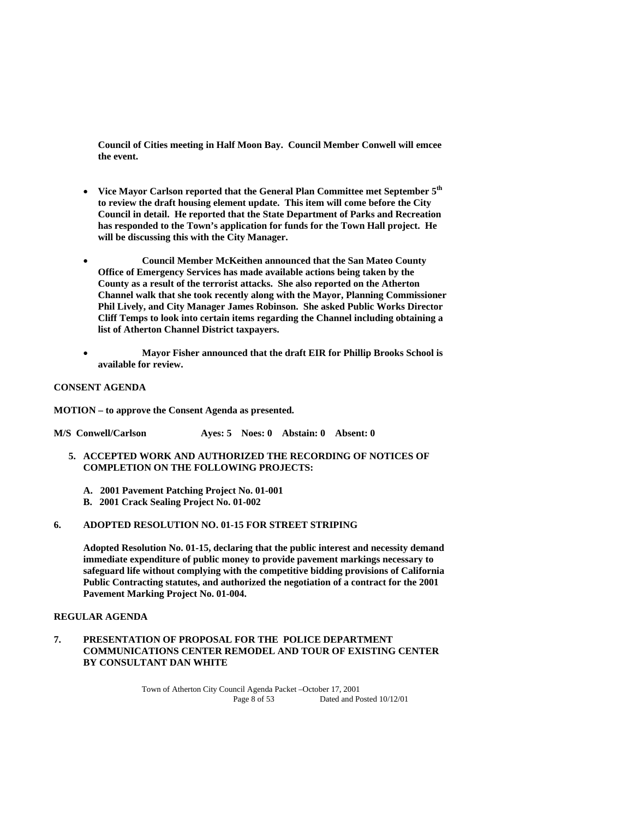**Council of Cities meeting in Half Moon Bay. Council Member Conwell will emcee the event.** 

- **Vice Mayor Carlson reported that the General Plan Committee met September 5th to review the draft housing element update. This item will come before the City Council in detail. He reported that the State Department of Parks and Recreation has responded to the Town's application for funds for the Town Hall project. He will be discussing this with the City Manager.**
- **Council Member McKeithen announced that the San Mateo County Office of Emergency Services has made available actions being taken by the County as a result of the terrorist attacks. She also reported on the Atherton Channel walk that she took recently along with the Mayor, Planning Commissioner Phil Lively, and City Manager James Robinson. She asked Public Works Director Cliff Temps to look into certain items regarding the Channel including obtaining a list of Atherton Channel District taxpayers.**
- **Mayor Fisher announced that the draft EIR for Phillip Brooks School is available for review.**

#### **CONSENT AGENDA**

**MOTION – to approve the Consent Agenda as presented.** 

**M/S Conwell/Carlson Ayes: 5 Noes: 0 Abstain: 0 Absent: 0** 

- **5. ACCEPTED WORK AND AUTHORIZED THE RECORDING OF NOTICES OF COMPLETION ON THE FOLLOWING PROJECTS:** 
	- **A. 2001 Pavement Patching Project No. 01-001**
	- **B. 2001 Crack Sealing Project No. 01-002**

## **6. ADOPTED RESOLUTION NO. 01-15 FOR STREET STRIPING**

 **Adopted Resolution No. 01-15, declaring that the public interest and necessity demand immediate expenditure of public money to provide pavement markings necessary to safeguard life without complying with the competitive bidding provisions of California Public Contracting statutes, and authorized the negotiation of a contract for the 2001 Pavement Marking Project No. 01-004.** 

#### **REGULAR AGENDA**

**7. PRESENTATION OF PROPOSAL FOR THE POLICE DEPARTMENT COMMUNICATIONS CENTER REMODEL AND TOUR OF EXISTING CENTER BY CONSULTANT DAN WHITE**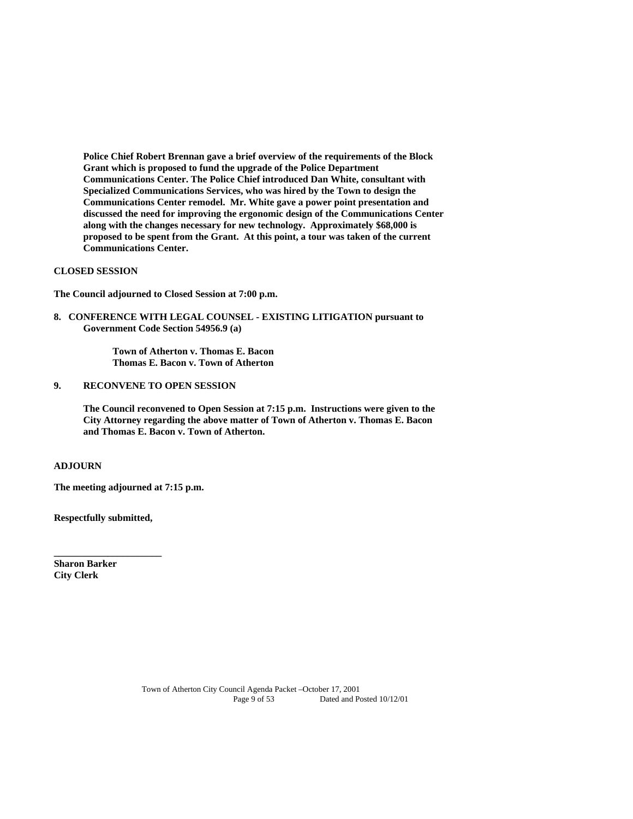**Police Chief Robert Brennan gave a brief overview of the requirements of the Block Grant which is proposed to fund the upgrade of the Police Department Communications Center. The Police Chief introduced Dan White, consultant with Specialized Communications Services, who was hired by the Town to design the Communications Center remodel. Mr. White gave a power point presentation and discussed the need for improving the ergonomic design of the Communications Center along with the changes necessary for new technology. Approximately \$68,000 is proposed to be spent from the Grant. At this point, a tour was taken of the current Communications Center.** 

#### **CLOSED SESSION**

**The Council adjourned to Closed Session at 7:00 p.m.** 

**8. CONFERENCE WITH LEGAL COUNSEL - EXISTING LITIGATION pursuant to Government Code Section 54956.9 (a)** 

> **Town of Atherton v. Thomas E. Bacon Thomas E. Bacon v. Town of Atherton**

**9. RECONVENE TO OPEN SESSION** 

 **The Council reconvened to Open Session at 7:15 p.m. Instructions were given to the City Attorney regarding the above matter of Town of Atherton v. Thomas E. Bacon and Thomas E. Bacon v. Town of Atherton.** 

#### **ADJOURN**

**The meeting adjourned at 7:15 p.m.** 

**Respectfully submitted,** 

**\_\_\_\_\_\_\_\_\_\_\_\_\_\_\_\_\_\_\_\_\_\_** 

**Sharon Barker City Clerk**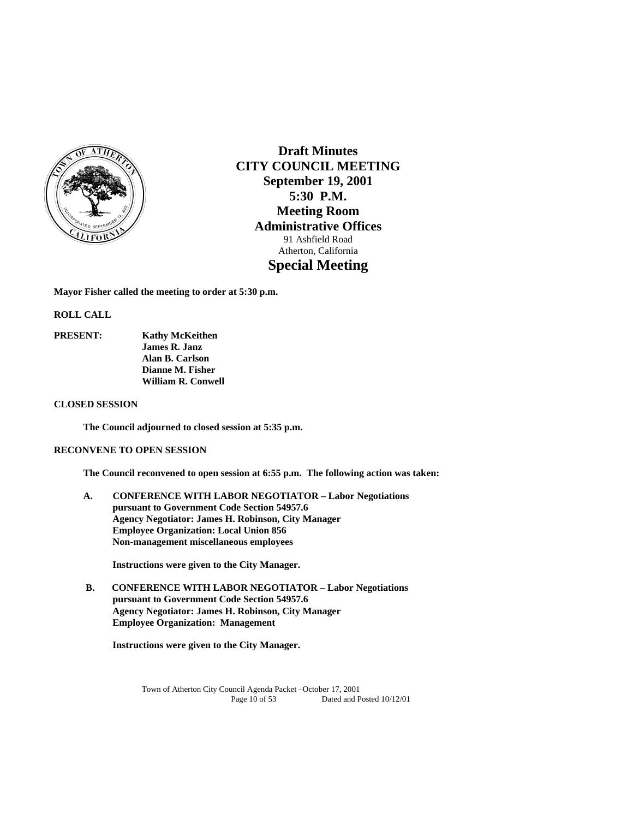

**Draft Minutes CITY COUNCIL MEETING September 19, 2001 5:30 P.M. Meeting Room Administrative Offices**  91 Ashfield Road Atherton, California **Special Meeting** 

**Mayor Fisher called the meeting to order at 5:30 p.m.** 

**ROLL CALL** 

**PRESENT: Kathy McKeithen James R. Janz Alan B. Carlson Dianne M. Fisher William R. Conwell** 

## **CLOSED SESSION**

 **The Council adjourned to closed session at 5:35 p.m.** 

## **RECONVENE TO OPEN SESSION**

 **The Council reconvened to open session at 6:55 p.m. The following action was taken:** 

**A. CONFERENCE WITH LABOR NEGOTIATOR – Labor Negotiations pursuant to Government Code Section 54957.6 Agency Negotiator: James H. Robinson, City Manager Employee Organization: Local Union 856 Non-management miscellaneous employees** 

 **Instructions were given to the City Manager.** 

 **B. CONFERENCE WITH LABOR NEGOTIATOR – Labor Negotiations pursuant to Government Code Section 54957.6 Agency Negotiator: James H. Robinson, City Manager Employee Organization: Management** 

 **Instructions were given to the City Manager.**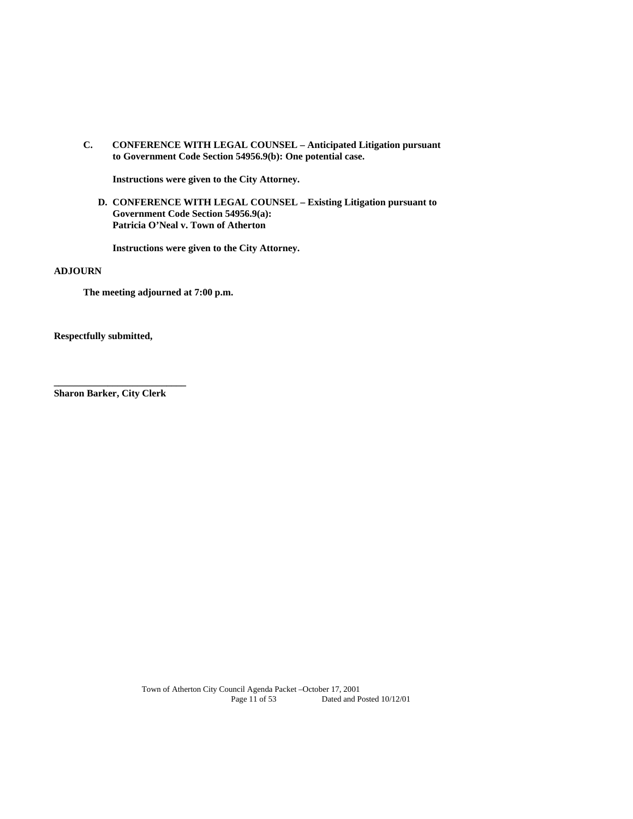**C. CONFERENCE WITH LEGAL COUNSEL – Anticipated Litigation pursuant to Government Code Section 54956.9(b): One potential case.** 

 **Instructions were given to the City Attorney.** 

**D. CONFERENCE WITH LEGAL COUNSEL – Existing Litigation pursuant to Government Code Section 54956.9(a): Patricia O'Neal v. Town of Atherton** 

**Instructions were given to the City Attorney.** 

#### **ADJOURN**

 **The meeting adjourned at 7:00 p.m.** 

**Respectfully submitted,** 

**Sharon Barker, City Clerk** 

**\_\_\_\_\_\_\_\_\_\_\_\_\_\_\_\_\_\_\_\_\_\_\_\_\_\_\_**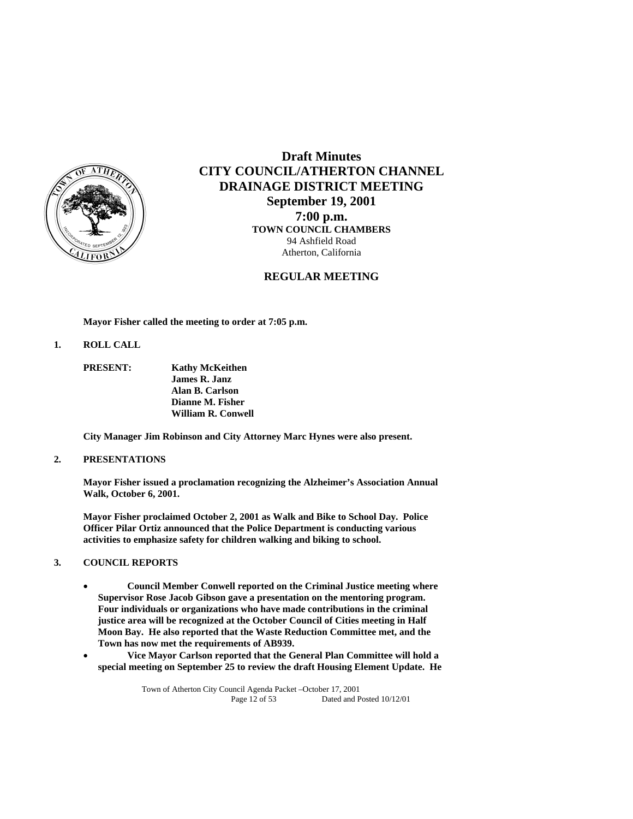

## **Draft Minutes CITY COUNCIL/ATHERTON CHANNEL DRAINAGE DISTRICT MEETING September 19, 2001 7:00 p.m.**

**TOWN COUNCIL CHAMBERS** 94 Ashfield Road Atherton, California

## **REGULAR MEETING**

 **Mayor Fisher called the meeting to order at 7:05 p.m.** 

**1. ROLL CALL** 

 **PRESENT: Kathy McKeithen James R. Janz Alan B. Carlson Dianne M. Fisher William R. Conwell** 

**City Manager Jim Robinson and City Attorney Marc Hynes were also present.** 

## **2. PRESENTATIONS**

 **Mayor Fisher issued a proclamation recognizing the Alzheimer's Association Annual Walk, October 6, 2001.** 

**Mayor Fisher proclaimed October 2, 2001 as Walk and Bike to School Day. Police Officer Pilar Ortiz announced that the Police Department is conducting various activities to emphasize safety for children walking and biking to school.** 

## **3. COUNCIL REPORTS**

- **Council Member Conwell reported on the Criminal Justice meeting where Supervisor Rose Jacob Gibson gave a presentation on the mentoring program. Four individuals or organizations who have made contributions in the criminal justice area will be recognized at the October Council of Cities meeting in Half Moon Bay. He also reported that the Waste Reduction Committee met, and the Town has now met the requirements of AB939.**
- **Vice Mayor Carlson reported that the General Plan Committee will hold a special meeting on September 25 to review the draft Housing Element Update. He**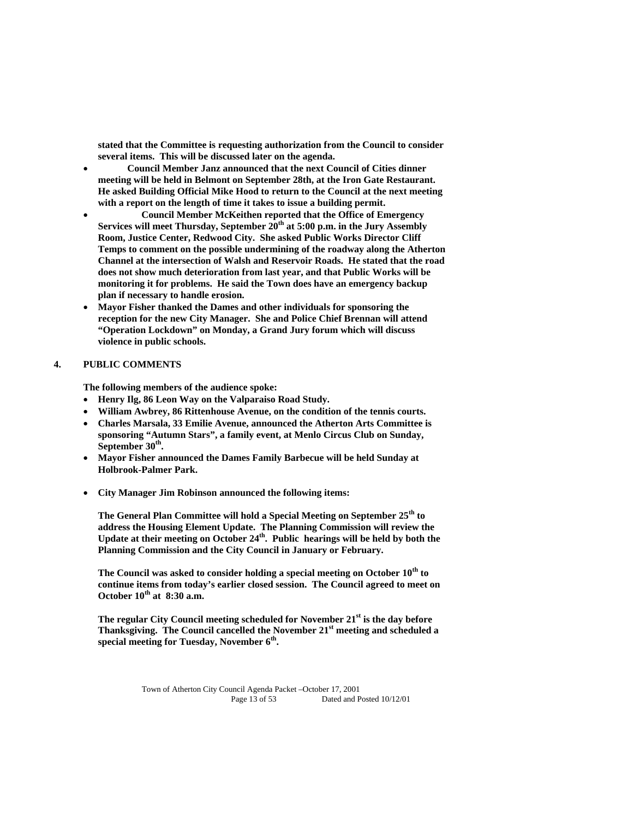**stated that the Committee is requesting authorization from the Council to consider several items. This will be discussed later on the agenda.** 

- **Council Member Janz announced that the next Council of Cities dinner meeting will be held in Belmont on September 28th, at the Iron Gate Restaurant. He asked Building Official Mike Hood to return to the Council at the next meeting with a report on the length of time it takes to issue a building permit.**
- **Council Member McKeithen reported that the Office of Emergency**  Services will meet Thursday, September 20<sup>th</sup> at 5:00 p.m. in the Jury Assembly **Room, Justice Center, Redwood City. She asked Public Works Director Cliff Temps to comment on the possible undermining of the roadway along the Atherton Channel at the intersection of Walsh and Reservoir Roads. He stated that the road does not show much deterioration from last year, and that Public Works will be monitoring it for problems. He said the Town does have an emergency backup plan if necessary to handle erosion.**
- **Mayor Fisher thanked the Dames and other individuals for sponsoring the reception for the new City Manager. She and Police Chief Brennan will attend "Operation Lockdown" on Monday, a Grand Jury forum which will discuss violence in public schools.**

## **4. PUBLIC COMMENTS**

 **The following members of the audience spoke:** 

- **Henry Ilg, 86 Leon Way on the Valparaiso Road Study.**
- **William Awbrey, 86 Rittenhouse Avenue, on the condition of the tennis courts.**
- **Charles Marsala, 33 Emilie Avenue, announced the Atherton Arts Committee is sponsoring "Autumn Stars", a family event, at Menlo Circus Club on Sunday, September 30th.**
- **Mayor Fisher announced the Dames Family Barbecue will be held Sunday at Holbrook-Palmer Park.**
- **City Manager Jim Robinson announced the following items:**

**The General Plan Committee will hold a Special Meeting on September 25th to address the Housing Element Update. The Planning Commission will review the**  Update at their meeting on October 24<sup>th</sup>. Public hearings will be held by both the **Planning Commission and the City Council in January or February.** 

**The Council was asked to consider holding a special meeting on October 10th to continue items from today's earlier closed session. The Council agreed to meet on October 10th at 8:30 a.m.** 

 **The regular City Council meeting scheduled for November 21st is the day before Thanksgiving. The Council cancelled the November 21st meeting and scheduled a special meeting for Tuesday, November 6th.**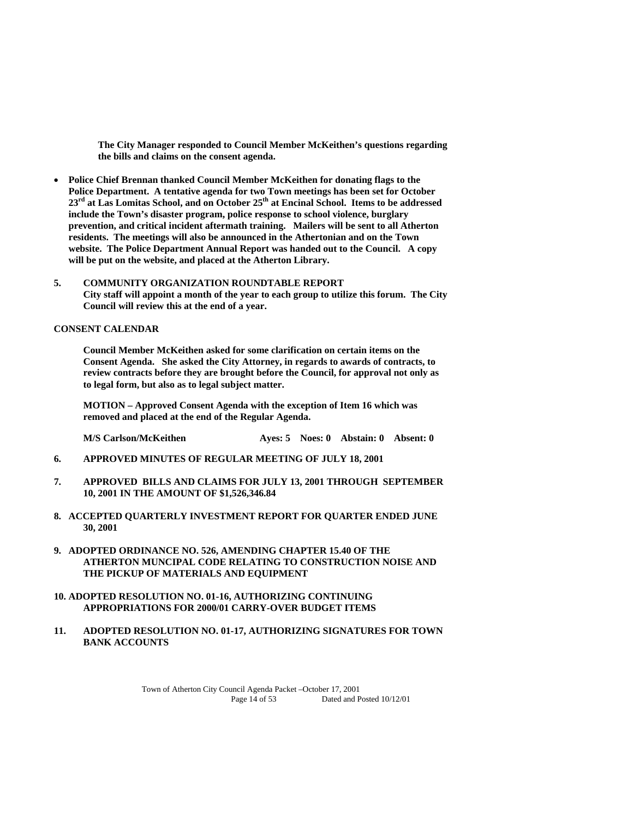**The City Manager responded to Council Member McKeithen's questions regarding the bills and claims on the consent agenda.** 

- **Police Chief Brennan thanked Council Member McKeithen for donating flags to the Police Department. A tentative agenda for two Town meetings has been set for October**  23<sup>rd</sup> at Las Lomitas School, and on October 25<sup>th</sup> at Encinal School. Items to be addressed **include the Town's disaster program, police response to school violence, burglary prevention, and critical incident aftermath training. Mailers will be sent to all Atherton residents. The meetings will also be announced in the Athertonian and on the Town website. The Police Department Annual Report was handed out to the Council. A copy will be put on the website, and placed at the Atherton Library.**
- **5. COMMUNITY ORGANIZATION ROUNDTABLE REPORT City staff will appoint a month of the year to each group to utilize this forum. The City Council will review this at the end of a year.**

#### **CONSENT CALENDAR**

**Council Member McKeithen asked for some clarification on certain items on the Consent Agenda. She asked the City Attorney, in regards to awards of contracts, to review contracts before they are brought before the Council, for approval not only as to legal form, but also as to legal subject matter.** 

 **MOTION – Approved Consent Agenda with the exception of Item 16 which was removed and placed at the end of the Regular Agenda.** 

**M/S Carlson/McKeithen Ayes: 5 Noes: 0 Abstain: 0 Absent: 0** 

- **6. APPROVED MINUTES OF REGULAR MEETING OF JULY 18, 2001**
- **7. APPROVED BILLS AND CLAIMS FOR JULY 13, 2001 THROUGH SEPTEMBER 10, 2001 IN THE AMOUNT OF \$1,526,346.84**
- **8. ACCEPTED QUARTERLY INVESTMENT REPORT FOR QUARTER ENDED JUNE 30, 2001**
- **9. ADOPTED ORDINANCE NO. 526, AMENDING CHAPTER 15.40 OF THE ATHERTON MUNCIPAL CODE RELATING TO CONSTRUCTION NOISE AND THE PICKUP OF MATERIALS AND EQUIPMENT**

## **10. ADOPTED RESOLUTION NO. 01-16, AUTHORIZING CONTINUING APPROPRIATIONS FOR 2000/01 CARRY-OVER BUDGET ITEMS**

**11. ADOPTED RESOLUTION NO. 01-17, AUTHORIZING SIGNATURES FOR TOWN BANK ACCOUNTS**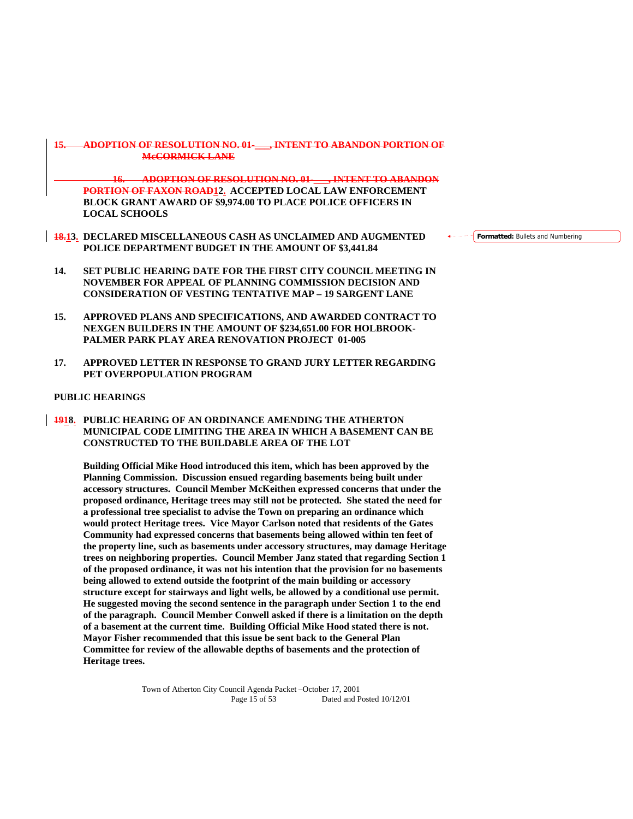## **15. ADOPTION OF RESOLUTION NO. 01-\_\_\_, INTENT TO ABANDON PORTION OF McCORMICK LANE**

**16. ADOPTION OF RESOLUTION NO. 01-\_\_\_, INTENT TO ABANDON PORTION OF FAXON ROAD12. ACCEPTED LOCAL LAW ENFORCEMENT BLOCK GRANT AWARD OF \$9,974.00 TO PLACE POLICE OFFICERS IN LOCAL SCHOOLS** 

- **18.13. DECLARED MISCELLANEOUS CASH AS UNCLAIMED AND AUGMENTED POLICE DEPARTMENT BUDGET IN THE AMOUNT OF \$3,441.84**
- **14. SET PUBLIC HEARING DATE FOR THE FIRST CITY COUNCIL MEETING IN NOVEMBER FOR APPEAL OF PLANNING COMMISSION DECISION AND CONSIDERATION OF VESTING TENTATIVE MAP – 19 SARGENT LANE**
- **15. APPROVED PLANS AND SPECIFICATIONS, AND AWARDED CONTRACT TO NEXGEN BUILDERS IN THE AMOUNT OF \$234,651.00 FOR HOLBROOK-PALMER PARK PLAY AREA RENOVATION PROJECT 01-005**
- **17. APPROVED LETTER IN RESPONSE TO GRAND JURY LETTER REGARDING PET OVERPOPULATION PROGRAM**

## **PUBLIC HEARINGS**

**1918. PUBLIC HEARING OF AN ORDINANCE AMENDING THE ATHERTON MUNICIPAL CODE LIMITING THE AREA IN WHICH A BASEMENT CAN BE CONSTRUCTED TO THE BUILDABLE AREA OF THE LOT** 

**Building Official Mike Hood introduced this item, which has been approved by the Planning Commission. Discussion ensued regarding basements being built under accessory structures. Council Member McKeithen expressed concerns that under the proposed ordinance, Heritage trees may still not be protected. She stated the need for a professional tree specialist to advise the Town on preparing an ordinance which would protect Heritage trees. Vice Mayor Carlson noted that residents of the Gates Community had expressed concerns that basements being allowed within ten feet of the property line, such as basements under accessory structures, may damage Heritage trees on neighboring properties. Council Member Janz stated that regarding Section 1 of the proposed ordinance, it was not his intention that the provision for no basements being allowed to extend outside the footprint of the main building or accessory structure except for stairways and light wells, be allowed by a conditional use permit. He suggested moving the second sentence in the paragraph under Section 1 to the end of the paragraph. Council Member Conwell asked if there is a limitation on the depth of a basement at the current time. Building Official Mike Hood stated there is not. Mayor Fisher recommended that this issue be sent back to the General Plan Committee for review of the allowable depths of basements and the protection of Heritage trees.** 

> Town of Atherton City Council Agenda Packet –October 17, 2001 Page 15 of 53 Dated and Posted  $10/12/01$

**Formatted:** Bullets and Numbering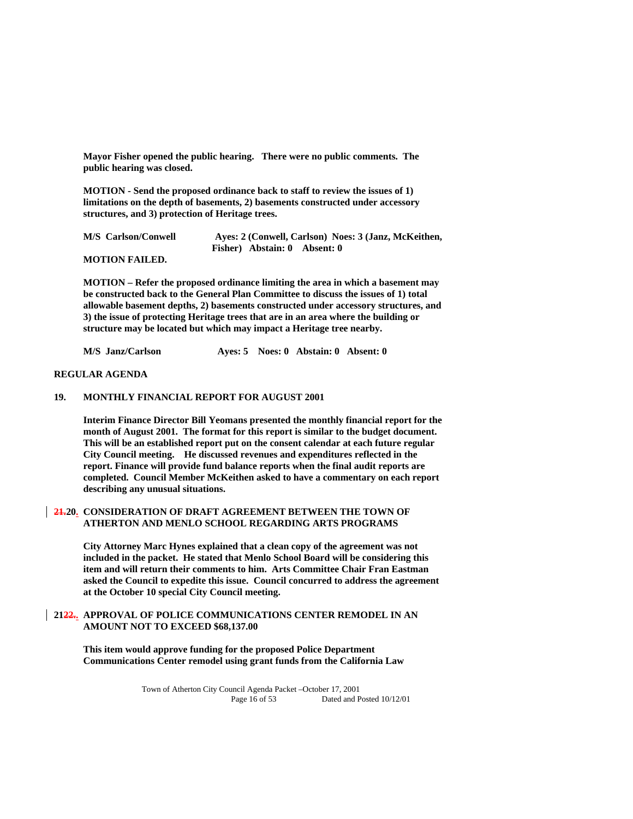**Mayor Fisher opened the public hearing. There were no public comments. The public hearing was closed.** 

**MOTION - Send the proposed ordinance back to staff to review the issues of 1) limitations on the depth of basements, 2) basements constructed under accessory structures, and 3) protection of Heritage trees.** 

 **M/S Carlson/Conwell Ayes: 2 (Conwell, Carlson) Noes: 3 (Janz, McKeithen, Fisher) Abstain: 0 Absent: 0** 

 **MOTION FAILED.** 

**MOTION – Refer the proposed ordinance limiting the area in which a basement may be constructed back to the General Plan Committee to discuss the issues of 1) total allowable basement depths, 2) basements constructed under accessory structures, and 3) the issue of protecting Heritage trees that are in an area where the building or structure may be located but which may impact a Heritage tree nearby.** 

 **M/S Janz/Carlson Ayes: 5 Noes: 0 Abstain: 0 Absent: 0** 

### **REGULAR AGENDA**

## **19. MONTHLY FINANCIAL REPORT FOR AUGUST 2001**

 **Interim Finance Director Bill Yeomans presented the monthly financial report for the month of August 2001. The format for this report is similar to the budget document. This will be an established report put on the consent calendar at each future regular City Council meeting. He discussed revenues and expenditures reflected in the report. Finance will provide fund balance reports when the final audit reports are completed. Council Member McKeithen asked to have a commentary on each report describing any unusual situations.** 

## **21.20. CONSIDERATION OF DRAFT AGREEMENT BETWEEN THE TOWN OF ATHERTON AND MENLO SCHOOL REGARDING ARTS PROGRAMS**

**City Attorney Marc Hynes explained that a clean copy of the agreement was not included in the packet. He stated that Menlo School Board will be considering this item and will return their comments to him. Arts Committee Chair Fran Eastman asked the Council to expedite this issue. Council concurred to address the agreement at the October 10 special City Council meeting.** 

## **2122.. APPROVAL OF POLICE COMMUNICATIONS CENTER REMODEL IN AN AMOUNT NOT TO EXCEED \$68,137.00**

**This item would approve funding for the proposed Police Department Communications Center remodel using grant funds from the California Law**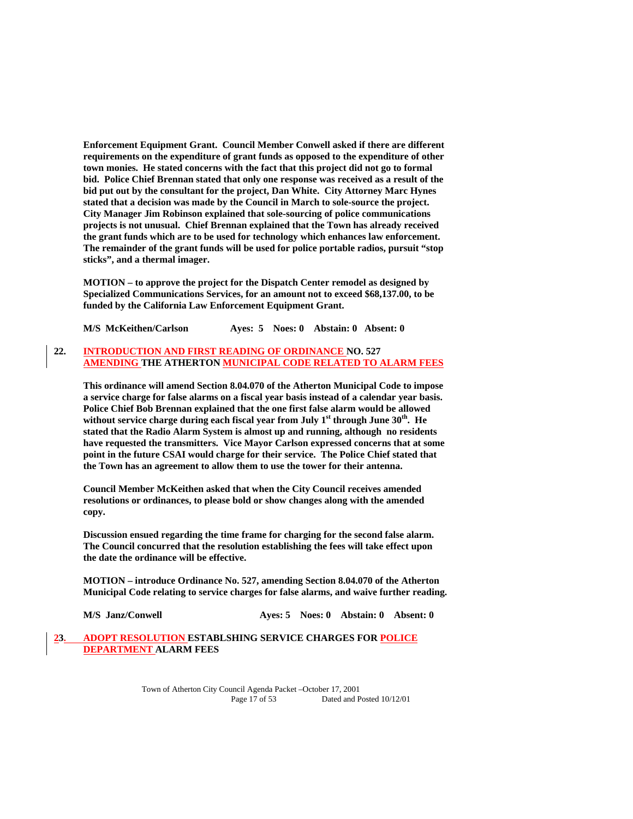**Enforcement Equipment Grant. Council Member Conwell asked if there are different requirements on the expenditure of grant funds as opposed to the expenditure of other town monies. He stated concerns with the fact that this project did not go to formal bid. Police Chief Brennan stated that only one response was received as a result of the bid put out by the consultant for the project, Dan White. City Attorney Marc Hynes stated that a decision was made by the Council in March to sole-source the project. City Manager Jim Robinson explained that sole-sourcing of police communications projects is not unusual. Chief Brennan explained that the Town has already received the grant funds which are to be used for technology which enhances law enforcement. The remainder of the grant funds will be used for police portable radios, pursuit "stop sticks", and a thermal imager.** 

 **MOTION – to approve the project for the Dispatch Center remodel as designed by Specialized Communications Services, for an amount not to exceed \$68,137.00, to be funded by the California Law Enforcement Equipment Grant.** 

 **M/S McKeithen/Carlson Ayes: 5 Noes: 0 Abstain: 0 Absent: 0** 

## **22. INTRODUCTION AND FIRST READING OF ORDINANCE NO. 527 AMENDING THE ATHERTON MUNICIPAL CODE RELATED TO ALARM FEES**

**This ordinance will amend Section 8.04.070 of the Atherton Municipal Code to impose a service charge for false alarms on a fiscal year basis instead of a calendar year basis. Police Chief Bob Brennan explained that the one first false alarm would be allowed**  without service charge during each fiscal year from July 1<sup>st</sup> through June 30<sup>th</sup>. He **stated that the Radio Alarm System is almost up and running, although no residents have requested the transmitters. Vice Mayor Carlson expressed concerns that at some point in the future CSAI would charge for their service. The Police Chief stated that the Town has an agreement to allow them to use the tower for their antenna.** 

**Council Member McKeithen asked that when the City Council receives amended resolutions or ordinances, to please bold or show changes along with the amended copy.** 

**Discussion ensued regarding the time frame for charging for the second false alarm. The Council concurred that the resolution establishing the fees will take effect upon the date the ordinance will be effective.** 

 **MOTION – introduce Ordinance No. 527, amending Section 8.04.070 of the Atherton Municipal Code relating to service charges for false alarms, and waive further reading.** 

 **M/S** Janz/Conwell **Ayes: 5 Noes: 0 Abstain: 0 Absent: 0** 

## **23. ADOPT RESOLUTION ESTABLSHING SERVICE CHARGES FOR POLICE DEPARTMENT ALARM FEES**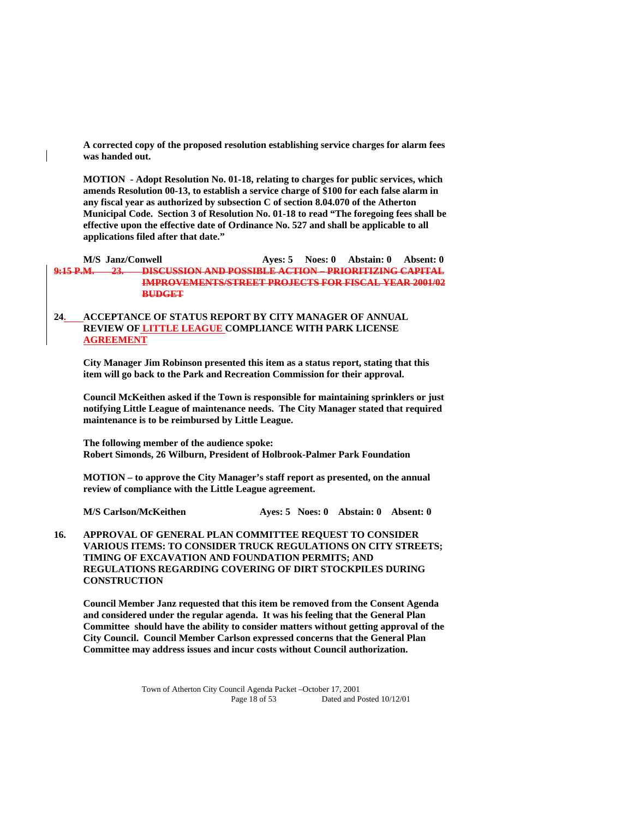**A corrected copy of the proposed resolution establishing service charges for alarm fees was handed out.** 

 **MOTION - Adopt Resolution No. 01-18, relating to charges for public services, which amends Resolution 00-13, to establish a service charge of \$100 for each false alarm in any fiscal year as authorized by subsection C of section 8.04.070 of the Atherton Municipal Code. Section 3 of Resolution No. 01-18 to read "The foregoing fees shall be effective upon the effective date of Ordinance No. 527 and shall be applicable to all applications filed after that date."** 

 **M/S Janz/Conwell Ayes: 5 Noes: 0 Abstain: 0 Absent: 0 9:15 P.M. 23. DISCUSSION AND POSSIBLE ACTION – PRIORITIZING CAPITAL IMPROVEMENTS/STREET PROJECTS FOR FISCAL YEAR 2001/02 BUDGET**

## **24. ACCEPTANCE OF STATUS REPORT BY CITY MANAGER OF ANNUAL REVIEW OF LITTLE LEAGUE COMPLIANCE WITH PARK LICENSE AGREEMENT**

**City Manager Jim Robinson presented this item as a status report, stating that this item will go back to the Park and Recreation Commission for their approval.** 

**Council McKeithen asked if the Town is responsible for maintaining sprinklers or just notifying Little League of maintenance needs. The City Manager stated that required maintenance is to be reimbursed by Little League.** 

 **The following member of the audience spoke: Robert Simonds, 26 Wilburn, President of Holbrook-Palmer Park Foundation** 

 **MOTION – to approve the City Manager's staff report as presented, on the annual review of compliance with the Little League agreement.** 

**M/S Carlson/McKeithen Ayes: 5 Noes: 0 Abstain: 0 Absent: 0** 

## **16. APPROVAL OF GENERAL PLAN COMMITTEE REQUEST TO CONSIDER VARIOUS ITEMS: TO CONSIDER TRUCK REGULATIONS ON CITY STREETS; TIMING OF EXCAVATION AND FOUNDATION PERMITS; AND REGULATIONS REGARDING COVERING OF DIRT STOCKPILES DURING CONSTRUCTION**

**Council Member Janz requested that this item be removed from the Consent Agenda and considered under the regular agenda. It was his feeling that the General Plan Committee should have the ability to consider matters without getting approval of the City Council. Council Member Carlson expressed concerns that the General Plan Committee may address issues and incur costs without Council authorization.**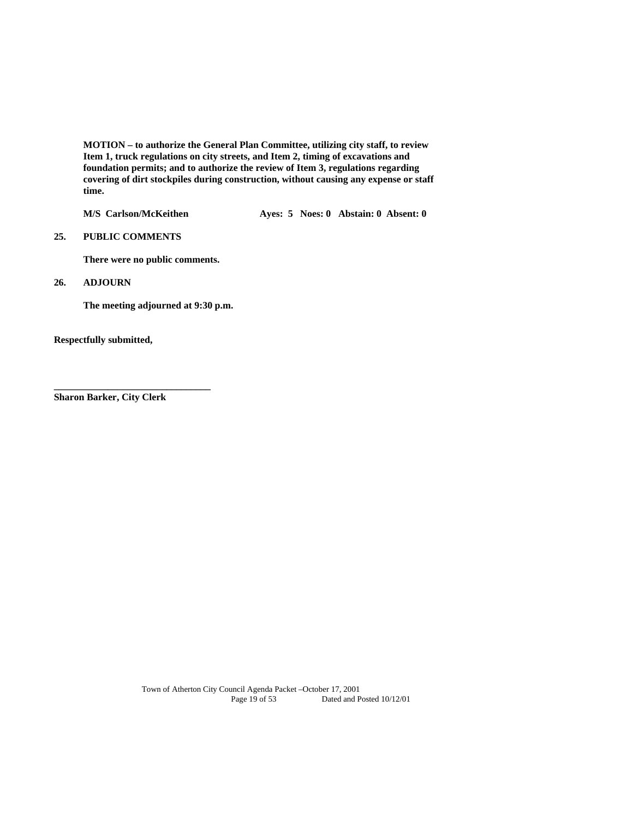**MOTION – to authorize the General Plan Committee, utilizing city staff, to review Item 1, truck regulations on city streets, and Item 2, timing of excavations and foundation permits; and to authorize the review of Item 3, regulations regarding covering of dirt stockpiles during construction, without causing any expense or staff time.** 

**M/S Carlson/McKeithen Ayes: 5 Noes: 0 Abstain: 0 Absent: 0** 

## **25. PUBLIC COMMENTS**

**There were no public comments.** 

#### **26. ADJOURN**

 **The meeting adjourned at 9:30 p.m.** 

**Respectfully submitted,** 

**Sharon Barker, City Clerk** 

**\_\_\_\_\_\_\_\_\_\_\_\_\_\_\_\_\_\_\_\_\_\_\_\_\_\_\_\_\_\_\_\_**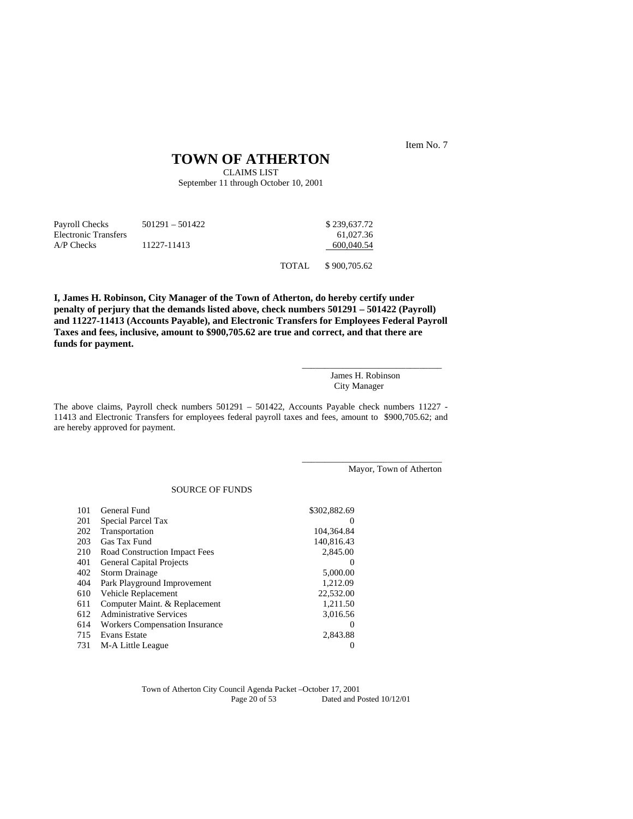Item No. 7

## **TOWN OF ATHERTON**

CLAIMS LIST September 11 through October 10, 2001

| Payroll Checks       | $501291 - 501422$ |        | \$239,637.72 |
|----------------------|-------------------|--------|--------------|
| Electronic Transfers |                   |        | 61,027.36    |
| $A/P$ Checks         | 11227-11413       |        | 600,040.54   |
|                      |                   | TOTAL. | \$900,705.62 |

**I, James H. Robinson, City Manager of the Town of Atherton, do hereby certify under penalty of perjury that the demands listed above, check numbers 501291 – 501422 (Payroll) and 11227-11413 (Accounts Payable), and Electronic Transfers for Employees Federal Payroll Taxes and fees, inclusive, amount to \$900,705.62 are true and correct, and that there are funds for payment.** 

> \_\_\_\_\_\_\_\_\_\_\_\_\_\_\_\_\_\_\_\_\_\_\_\_\_\_\_\_\_\_\_ James H. Robinson City Manager

> \_\_\_\_\_\_\_\_\_\_\_\_\_\_\_\_\_\_\_\_\_\_\_\_\_\_\_\_\_\_\_

The above claims, Payroll check numbers 501291 – 501422, Accounts Payable check numbers 11227 - 11413 and Electronic Transfers for employees federal payroll taxes and fees, amount to \$900,705.62; and are hereby approved for payment.

Mayor, Town of Atherton

#### SOURCE OF FUNDS

| 101 | General Fund                          | \$302,882.69 |
|-----|---------------------------------------|--------------|
| 201 | Special Parcel Tax                    | $\Omega$     |
| 202 | Transportation                        | 104.364.84   |
| 203 | Gas Tax Fund                          | 140.816.43   |
| 210 | Road Construction Impact Fees         | 2,845.00     |
| 401 | <b>General Capital Projects</b>       | $\Omega$     |
| 402 | <b>Storm Drainage</b>                 | 5,000.00     |
| 404 | Park Playground Improvement           | 1,212.09     |
| 610 | Vehicle Replacement                   | 22,532.00    |
| 611 | Computer Maint. & Replacement         | 1.211.50     |
| 612 | <b>Administrative Services</b>        | 3,016.56     |
| 614 | <b>Workers Compensation Insurance</b> | $\Omega$     |
| 715 | <b>Evans Estate</b>                   | 2.843.88     |
| 731 | M-A Little League                     |              |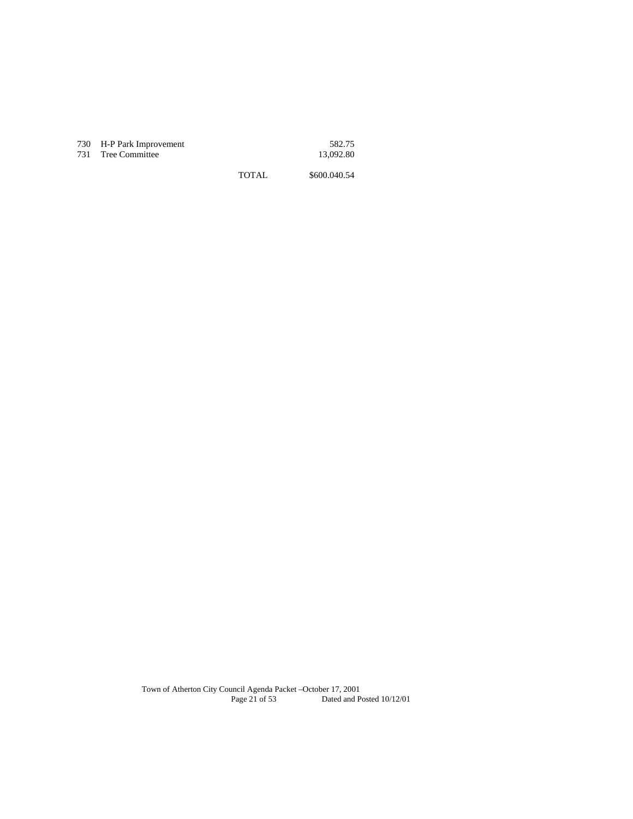| 730 H-P Park Improvement | 582.75    |
|--------------------------|-----------|
| 731 Tree Committee       | 13,092.80 |

TOTAL \$600.040.54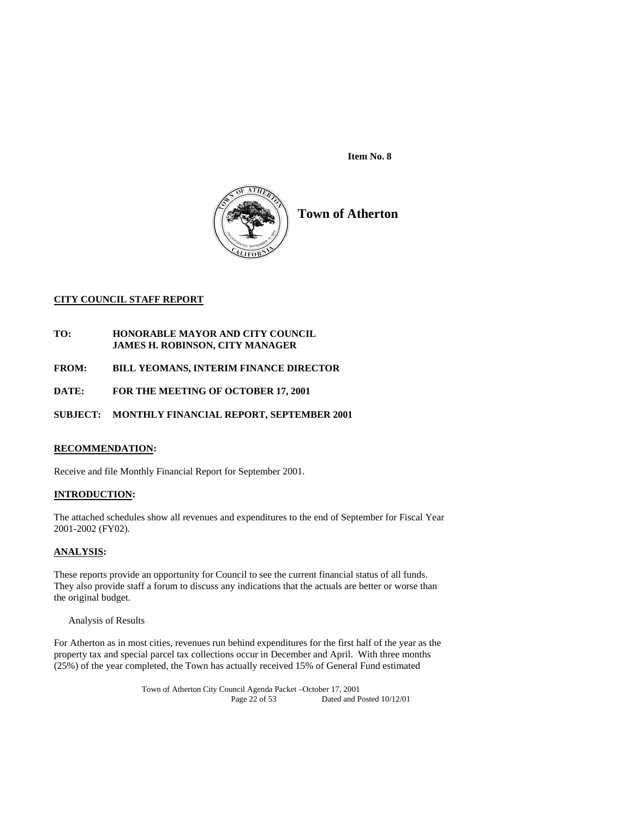**Item No. 8** 



## **CITY COUNCIL STAFF REPORT**

- **TO: HONORABLE MAYOR AND CITY COUNCIL JAMES H. ROBINSON, CITY MANAGER**
- **FROM: BILL YEOMANS, INTERIM FINANCE DIRECTOR**
- **DATE: FOR THE MEETING OF OCTOBER 17, 2001**

**SUBJECT: MONTHLY FINANCIAL REPORT, SEPTEMBER 2001** 

## **RECOMMENDATION:**

Receive and file Monthly Financial Report for September 2001.

## **INTRODUCTION:**

The attached schedules show all revenues and expenditures to the end of September for Fiscal Year 2001-2002 (FY02).

## **ANALYSIS:**

These reports provide an opportunity for Council to see the current financial status of all funds. They also provide staff a forum to discuss any indications that the actuals are better or worse than the original budget.

Analysis of Results

For Atherton as in most cities, revenues run behind expenditures for the first half of the year as the property tax and special parcel tax collections occur in December and April. With three months (25%) of the year completed, the Town has actually received 15% of General Fund estimated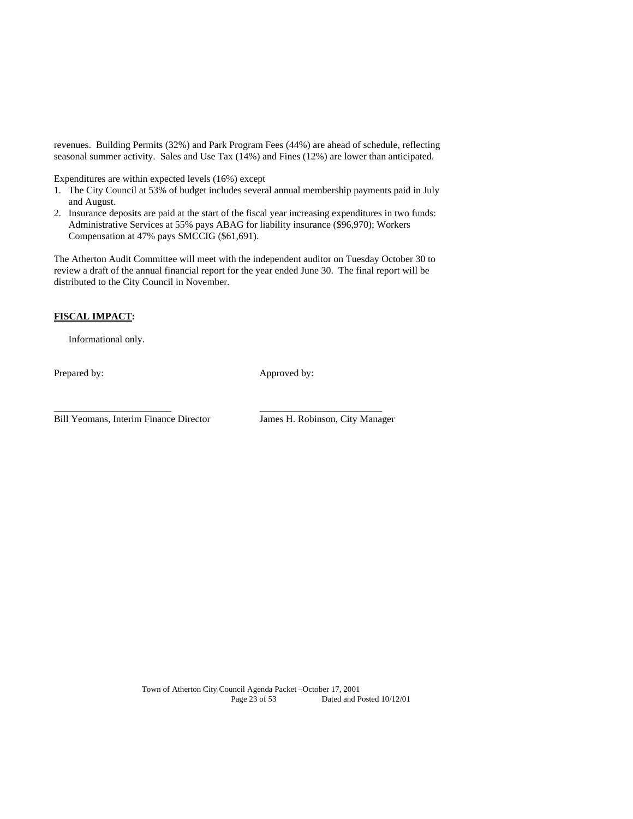revenues. Building Permits (32%) and Park Program Fees (44%) are ahead of schedule, reflecting seasonal summer activity. Sales and Use Tax (14%) and Fines (12%) are lower than anticipated.

Expenditures are within expected levels (16%) except

- 1. The City Council at 53% of budget includes several annual membership payments paid in July and August.
- 2. Insurance deposits are paid at the start of the fiscal year increasing expenditures in two funds: Administrative Services at 55% pays ABAG for liability insurance (\$96,970); Workers Compensation at 47% pays SMCCIG (\$61,691).

The Atherton Audit Committee will meet with the independent auditor on Tuesday October 30 to review a draft of the annual financial report for the year ended June 30. The final report will be distributed to the City Council in November.

## **FISCAL IMPACT:**

Informational only.

Prepared by: Approved by:

Bill Yeomans, Interim Finance Director James H. Robinson, City Manager

\_\_\_\_\_\_\_\_\_\_\_\_\_\_\_\_\_\_\_\_\_\_\_\_ \_\_\_\_\_\_\_\_\_\_\_\_\_\_\_\_\_\_\_\_\_\_\_\_\_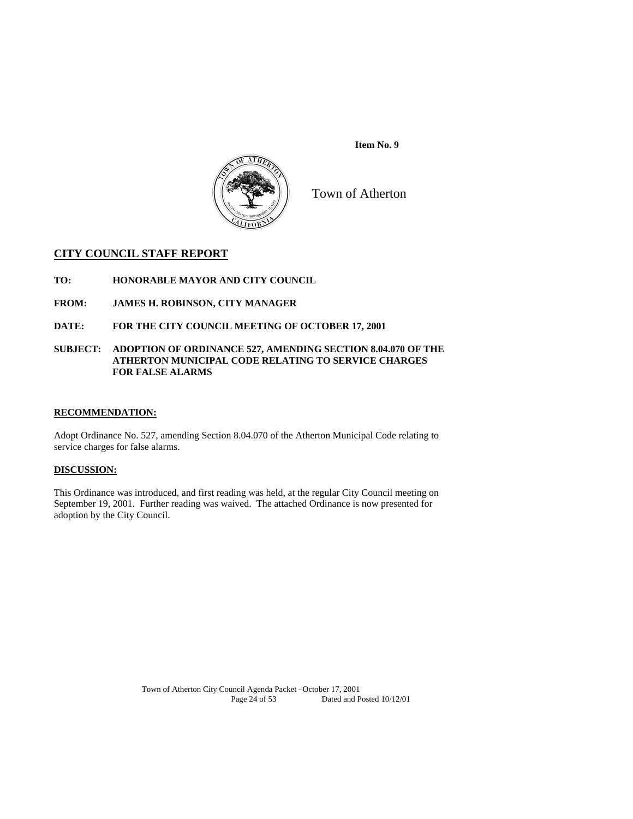



Town of Atherton

## **CITY COUNCIL STAFF REPORT**

**TO: HONORABLE MAYOR AND CITY COUNCIL** 

**FROM: JAMES H. ROBINSON, CITY MANAGER** 

**DATE: FOR THE CITY COUNCIL MEETING OF OCTOBER 17, 2001** 

## **SUBJECT: ADOPTION OF ORDINANCE 527, AMENDING SECTION 8.04.070 OF THE ATHERTON MUNICIPAL CODE RELATING TO SERVICE CHARGES FOR FALSE ALARMS**

## **RECOMMENDATION:**

Adopt Ordinance No. 527, amending Section 8.04.070 of the Atherton Municipal Code relating to service charges for false alarms.

## **DISCUSSION:**

This Ordinance was introduced, and first reading was held, at the regular City Council meeting on September 19, 2001. Further reading was waived. The attached Ordinance is now presented for adoption by the City Council.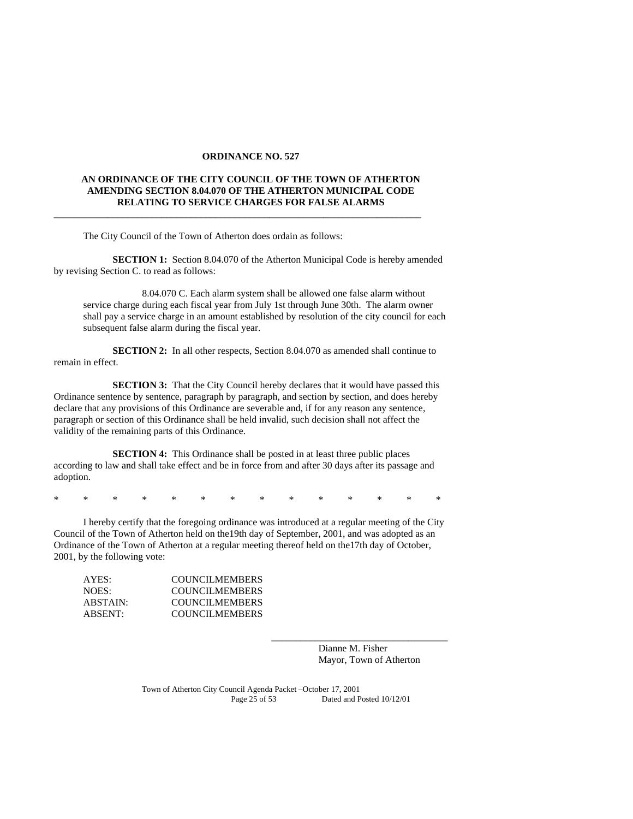#### **ORDINANCE NO. 527**

## **AN ORDINANCE OF THE CITY COUNCIL OF THE TOWN OF ATHERTON AMENDING SECTION 8.04.070 OF THE ATHERTON MUNICIPAL CODE RELATING TO SERVICE CHARGES FOR FALSE ALARMS**

\_\_\_\_\_\_\_\_\_\_\_\_\_\_\_\_\_\_\_\_\_\_\_\_\_\_\_\_\_\_\_\_\_\_\_\_\_\_\_\_\_\_\_\_\_\_\_\_\_\_\_\_\_\_\_\_\_\_\_\_\_\_\_\_\_\_\_\_\_\_\_\_\_\_\_

The City Council of the Town of Atherton does ordain as follows:

**SECTION 1:** Section 8.04.070 of the Atherton Municipal Code is hereby amended by revising Section C. to read as follows:

 8.04.070 C. Each alarm system shall be allowed one false alarm without service charge during each fiscal year from July 1st through June 30th. The alarm owner shall pay a service charge in an amount established by resolution of the city council for each subsequent false alarm during the fiscal year.

**SECTION 2:** In all other respects, Section 8.04.070 as amended shall continue to remain in effect.

**SECTION 3:** That the City Council hereby declares that it would have passed this Ordinance sentence by sentence, paragraph by paragraph, and section by section, and does hereby declare that any provisions of this Ordinance are severable and, if for any reason any sentence, paragraph or section of this Ordinance shall be held invalid, such decision shall not affect the validity of the remaining parts of this Ordinance.

 **SECTION 4:** This Ordinance shall be posted in at least three public places according to law and shall take effect and be in force from and after 30 days after its passage and adoption.

\* \* \* \* \* \* \* \* \* \* \* \* \* \*

 I hereby certify that the foregoing ordinance was introduced at a regular meeting of the City Council of the Town of Atherton held on the19th day of September, 2001, and was adopted as an Ordinance of the Town of Atherton at a regular meeting thereof held on the17th day of October, 2001, by the following vote:

| AYES:    | <b>COUNCILMEMBERS</b> |
|----------|-----------------------|
| NOES:    | <b>COUNCILMEMBERS</b> |
| ABSTAIN: | <b>COUNCILMEMBERS</b> |
| ABSENT:  | COUNCILMEMBERS        |

 Dianne M. Fisher Mayor, Town of Atherton

\_\_\_\_\_\_\_\_\_\_\_\_\_\_\_\_\_\_\_\_\_\_\_\_\_\_\_\_\_\_\_\_\_\_\_\_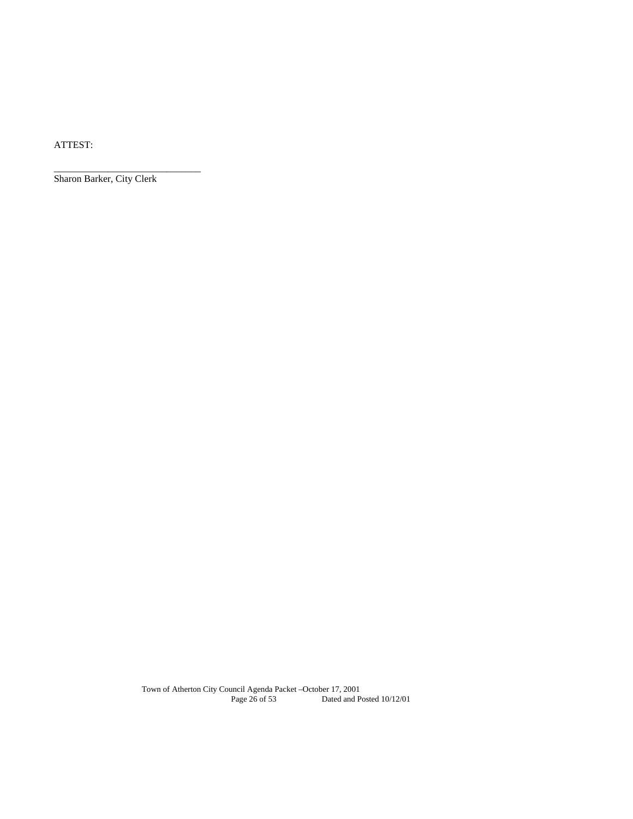ATTEST:

Sharon Barker, City Clerk

\_\_\_\_\_\_\_\_\_\_\_\_\_\_\_\_\_\_\_\_\_\_\_\_\_\_\_\_\_\_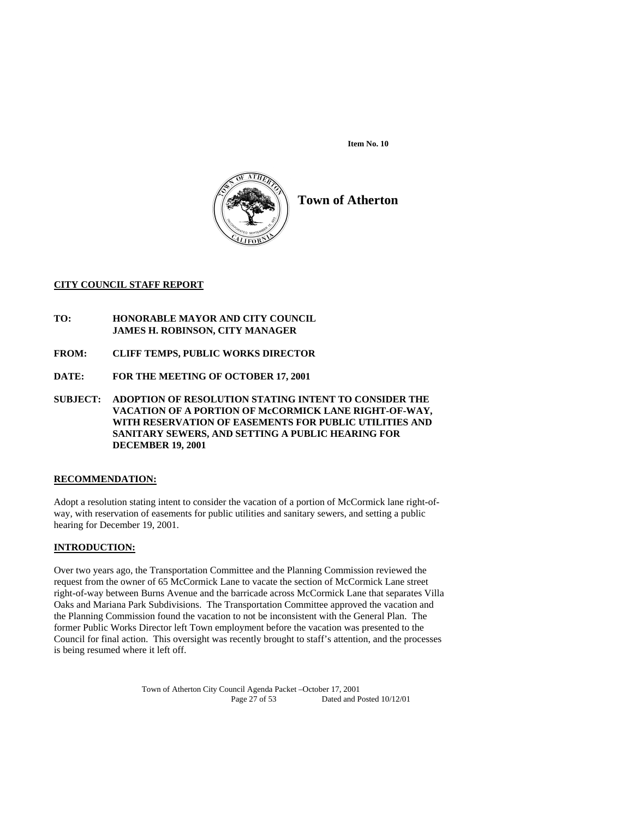**Item No. 10** 



## **Town of Atherton**

## **CITY COUNCIL STAFF REPORT**

- **TO: HONORABLE MAYOR AND CITY COUNCIL JAMES H. ROBINSON, CITY MANAGER**
- **FROM: CLIFF TEMPS, PUBLIC WORKS DIRECTOR**
- **DATE: FOR THE MEETING OF OCTOBER 17, 2001**
- **SUBJECT: ADOPTION OF RESOLUTION STATING INTENT TO CONSIDER THE VACATION OF A PORTION OF McCORMICK LANE RIGHT-OF-WAY, WITH RESERVATION OF EASEMENTS FOR PUBLIC UTILITIES AND SANITARY SEWERS, AND SETTING A PUBLIC HEARING FOR DECEMBER 19, 2001**

## **RECOMMENDATION:**

Adopt a resolution stating intent to consider the vacation of a portion of McCormick lane right-ofway, with reservation of easements for public utilities and sanitary sewers, and setting a public hearing for December 19, 2001.

## **INTRODUCTION:**

Over two years ago, the Transportation Committee and the Planning Commission reviewed the request from the owner of 65 McCormick Lane to vacate the section of McCormick Lane street right-of-way between Burns Avenue and the barricade across McCormick Lane that separates Villa Oaks and Mariana Park Subdivisions. The Transportation Committee approved the vacation and the Planning Commission found the vacation to not be inconsistent with the General Plan. The former Public Works Director left Town employment before the vacation was presented to the Council for final action. This oversight was recently brought to staff's attention, and the processes is being resumed where it left off.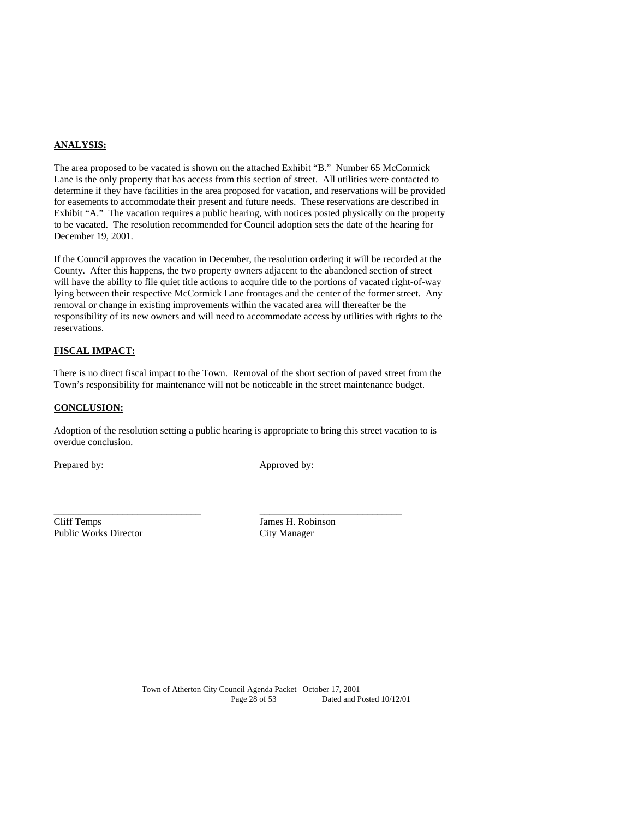## **ANALYSIS:**

The area proposed to be vacated is shown on the attached Exhibit "B." Number 65 McCormick Lane is the only property that has access from this section of street. All utilities were contacted to determine if they have facilities in the area proposed for vacation, and reservations will be provided for easements to accommodate their present and future needs. These reservations are described in Exhibit "A." The vacation requires a public hearing, with notices posted physically on the property to be vacated. The resolution recommended for Council adoption sets the date of the hearing for December 19, 2001.

If the Council approves the vacation in December, the resolution ordering it will be recorded at the County. After this happens, the two property owners adjacent to the abandoned section of street will have the ability to file quiet title actions to acquire title to the portions of vacated right-of-way lying between their respective McCormick Lane frontages and the center of the former street. Any removal or change in existing improvements within the vacated area will thereafter be the responsibility of its new owners and will need to accommodate access by utilities with rights to the reservations.

## **FISCAL IMPACT:**

There is no direct fiscal impact to the Town. Removal of the short section of paved street from the Town's responsibility for maintenance will not be noticeable in the street maintenance budget.

#### **CONCLUSION:**

Adoption of the resolution setting a public hearing is appropriate to bring this street vacation to is overdue conclusion.

\_\_\_\_\_\_\_\_\_\_\_\_\_\_\_\_\_\_\_\_\_\_\_\_\_\_\_\_\_\_ \_\_\_\_\_\_\_\_\_\_\_\_\_\_\_\_\_\_\_\_\_\_\_\_\_\_\_\_\_

Prepared by: Approved by:

Cliff Temps James H. Robinson Public Works Director City Manager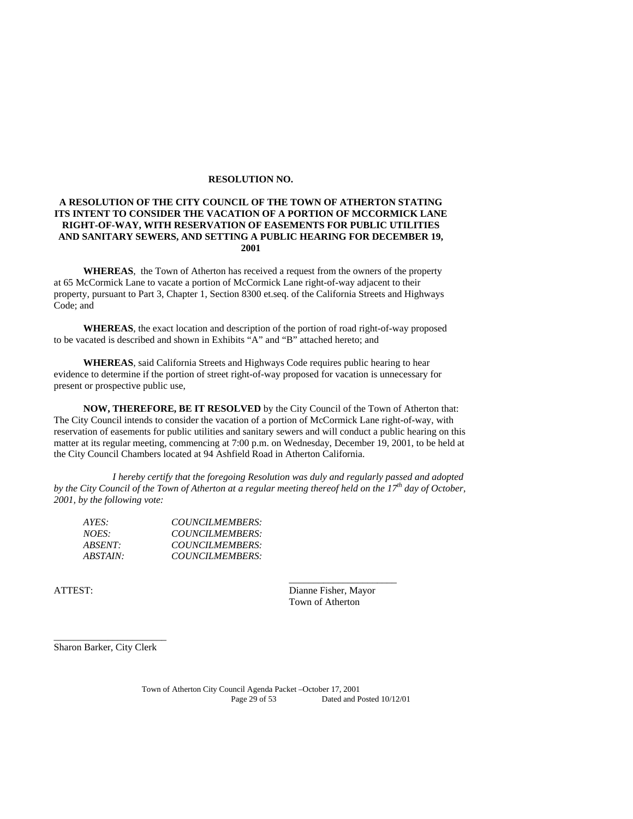#### **RESOLUTION NO.**

## **A RESOLUTION OF THE CITY COUNCIL OF THE TOWN OF ATHERTON STATING ITS INTENT TO CONSIDER THE VACATION OF A PORTION OF MCCORMICK LANE RIGHT-OF-WAY, WITH RESERVATION OF EASEMENTS FOR PUBLIC UTILITIES AND SANITARY SEWERS, AND SETTING A PUBLIC HEARING FOR DECEMBER 19, 2001**

**WHEREAS**, the Town of Atherton has received a request from the owners of the property at 65 McCormick Lane to vacate a portion of McCormick Lane right-of-way adjacent to their property, pursuant to Part 3, Chapter 1, Section 8300 et.seq. of the California Streets and Highways Code; and

**WHEREAS**, the exact location and description of the portion of road right-of-way proposed to be vacated is described and shown in Exhibits "A" and "B" attached hereto; and

**WHEREAS**, said California Streets and Highways Code requires public hearing to hear evidence to determine if the portion of street right-of-way proposed for vacation is unnecessary for present or prospective public use,

**NOW, THEREFORE, BE IT RESOLVED** by the City Council of the Town of Atherton that: The City Council intends to consider the vacation of a portion of McCormick Lane right-of-way, with reservation of easements for public utilities and sanitary sewers and will conduct a public hearing on this matter at its regular meeting, commencing at 7:00 p.m. on Wednesday, December 19, 2001, to be held at the City Council Chambers located at 94 Ashfield Road in Atherton California.

*I hereby certify that the foregoing Resolution was duly and regularly passed and adopted by the City Council of the Town of Atherton at a regular meeting thereof held on the 17th day of October, 2001, by the following vote:* 

 $\overline{\phantom{a}}$  , and the contract of the contract of the contract of the contract of the contract of the contract of the contract of the contract of the contract of the contract of the contract of the contract of the contrac

| COUNCILMEMBERS: |
|-----------------|
| COUNCILMEMBERS: |
| COUNCILMEMBERS: |
| COUNCILMEMBERS: |
|                 |

ATTEST: Dianne Fisher, Mayor Town of Atherton

\_\_\_\_\_\_\_\_\_\_\_\_\_\_\_\_\_\_\_\_\_\_\_ Sharon Barker, City Clerk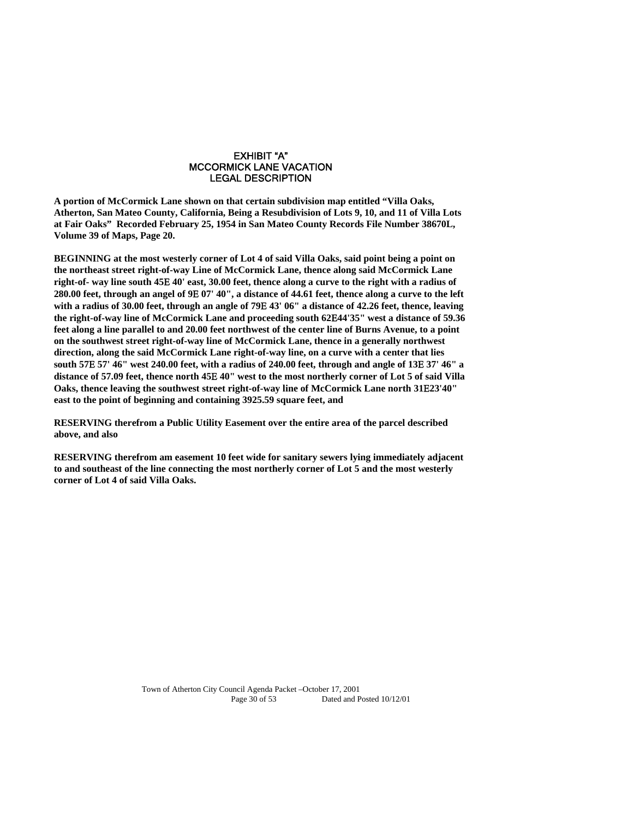#### EXHIBIT "A" MCCORMICK LANE VACATION LEGAL DESCRIPTION

**A portion of McCormick Lane shown on that certain subdivision map entitled "Villa Oaks, Atherton, San Mateo County, California, Being a Resubdivision of Lots 9, 10, and 11 of Villa Lots at Fair Oaks" Recorded February 25, 1954 in San Mateo County Records File Number 38670L, Volume 39 of Maps, Page 20.** 

**BEGINNING at the most westerly corner of Lot 4 of said Villa Oaks, said point being a point on the northeast street right-of-way Line of McCormick Lane, thence along said McCormick Lane right-of- way line south 45 40' east, 30.00 feet, thence along a curve to the right with a radius of 280.00 feet, through an angel of 9 07' 40", a distance of 44.61 feet, thence along a curve to the left with a radius of 30.00 feet, through an angle of 79 43' 06" a distance of 42.26 feet, thence, leaving the right-of-way line of McCormick Lane and proceeding south 6244'35" west a distance of 59.36 feet along a line parallel to and 20.00 feet northwest of the center line of Burns Avenue, to a point on the southwest street right-of-way line of McCormick Lane, thence in a generally northwest direction, along the said McCormick Lane right-of-way line, on a curve with a center that lies south 57 57' 46" west 240.00 feet, with a radius of 240.00 feet, through and angle of 13 37' 46" a distance of 57.09 feet, thence north 45 40" west to the most northerly corner of Lot 5 of said Villa Oaks, thence leaving the southwest street right-of-way line of McCormick Lane north 3123'40" east to the point of beginning and containing 3925.59 square feet, and** 

**RESERVING therefrom a Public Utility Easement over the entire area of the parcel described above, and also** 

**RESERVING therefrom am easement 10 feet wide for sanitary sewers lying immediately adjacent to and southeast of the line connecting the most northerly corner of Lot 5 and the most westerly corner of Lot 4 of said Villa Oaks.**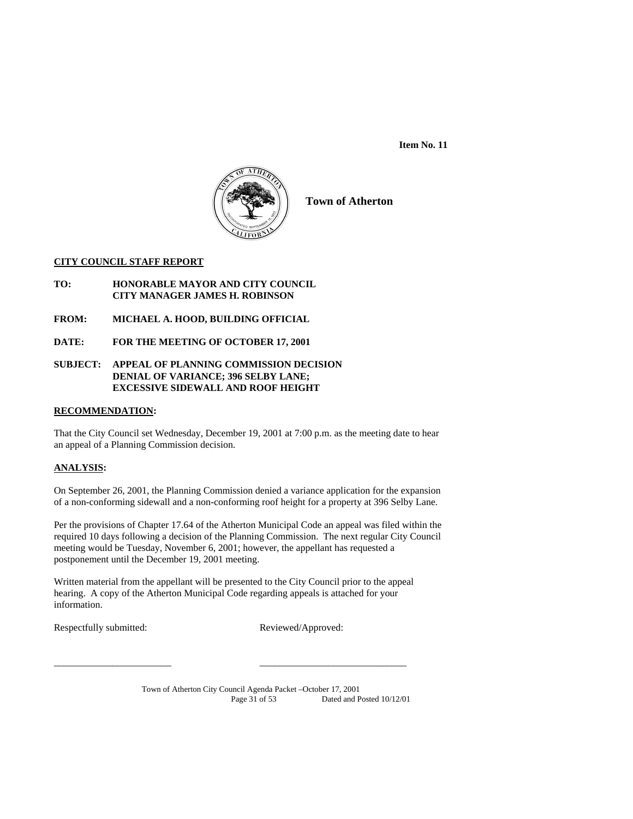**Item No. 11** 



**Town of Atherton**

## **CITY COUNCIL STAFF REPORT**

- **TO: HONORABLE MAYOR AND CITY COUNCIL CITY MANAGER JAMES H. ROBINSON**
- **FROM: MICHAEL A. HOOD, BUILDING OFFICIAL**
- **DATE: FOR THE MEETING OF OCTOBER 17, 2001**

## **SUBJECT: APPEAL OF PLANNING COMMISSION DECISION DENIAL OF VARIANCE; 396 SELBY LANE; EXCESSIVE SIDEWALL AND ROOF HEIGHT**

## **RECOMMENDATION:**

That the City Council set Wednesday, December 19, 2001 at 7:00 p.m. as the meeting date to hear an appeal of a Planning Commission decision.

## **ANALYSIS:**

On September 26, 2001, the Planning Commission denied a variance application for the expansion of a non-conforming sidewall and a non-conforming roof height for a property at 396 Selby Lane.

Per the provisions of Chapter 17.64 of the Atherton Municipal Code an appeal was filed within the required 10 days following a decision of the Planning Commission. The next regular City Council meeting would be Tuesday, November 6, 2001; however, the appellant has requested a postponement until the December 19, 2001 meeting.

Written material from the appellant will be presented to the City Council prior to the appeal hearing. A copy of the Atherton Municipal Code regarding appeals is attached for your information.

\_\_\_\_\_\_\_\_\_\_\_\_\_\_\_\_\_\_\_\_\_\_\_\_ \_\_\_\_\_\_\_\_\_\_\_\_\_\_\_\_\_\_\_\_\_\_\_\_\_\_\_\_\_\_

Respectfully submitted: Reviewed/Approved: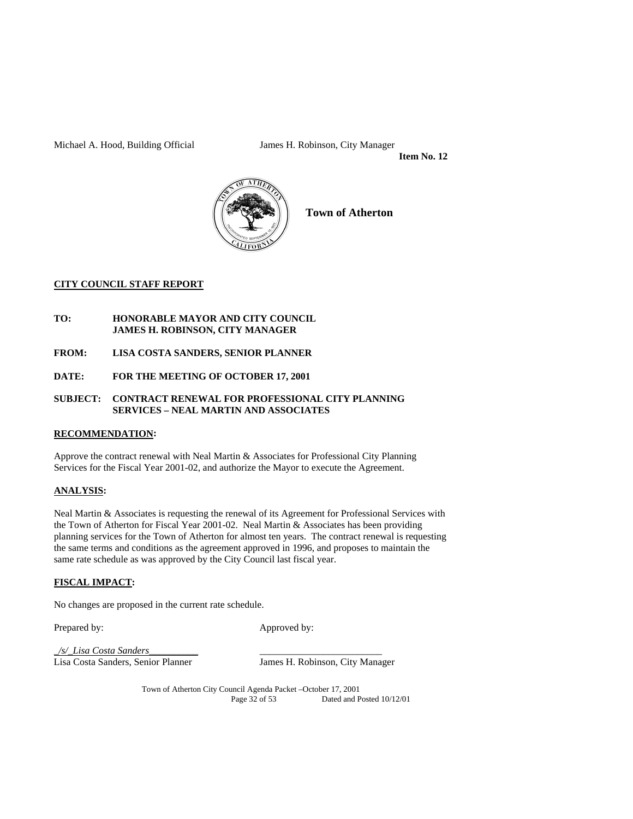Michael A. Hood, Building Official James H. Robinson, City Manager

 **Item No. 12** 



**Town of Atherton**

## **CITY COUNCIL STAFF REPORT**

## **TO: HONORABLE MAYOR AND CITY COUNCIL JAMES H. ROBINSON, CITY MANAGER**

- **FROM: LISA COSTA SANDERS, SENIOR PLANNER**
- **DATE: FOR THE MEETING OF OCTOBER 17, 2001**

## **SUBJECT: CONTRACT RENEWAL FOR PROFESSIONAL CITY PLANNING SERVICES – NEAL MARTIN AND ASSOCIATES**

## **RECOMMENDATION:**

Approve the contract renewal with Neal Martin & Associates for Professional City Planning Services for the Fiscal Year 2001-02, and authorize the Mayor to execute the Agreement.

## **ANALYSIS:**

Neal Martin & Associates is requesting the renewal of its Agreement for Professional Services with the Town of Atherton for Fiscal Year 2001-02. Neal Martin & Associates has been providing planning services for the Town of Atherton for almost ten years. The contract renewal is requesting the same terms and conditions as the agreement approved in 1996, and proposes to maintain the same rate schedule as was approved by the City Council last fiscal year.

## **FISCAL IMPACT:**

No changes are proposed in the current rate schedule.

Prepared by: Approved by:

*\_/s/\_Lisa Costa Sanders\_\_\_\_\_\_\_\_\_\_* \_\_\_\_\_\_\_\_\_\_\_\_\_\_\_\_\_\_\_\_\_\_\_\_\_

James H. Robinson, City Manager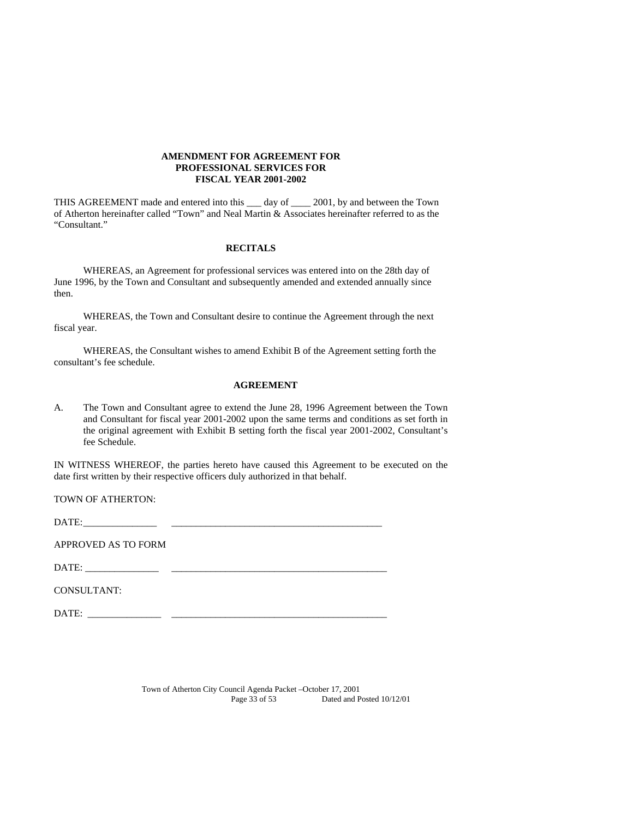## **AMENDMENT FOR AGREEMENT FOR PROFESSIONAL SERVICES FOR FISCAL YEAR 2001-2002**

THIS AGREEMENT made and entered into this \_\_\_ day of \_\_\_\_ 2001, by and between the Town of Atherton hereinafter called "Town" and Neal Martin & Associates hereinafter referred to as the "Consultant."

### **RECITALS**

 WHEREAS, an Agreement for professional services was entered into on the 28th day of June 1996, by the Town and Consultant and subsequently amended and extended annually since then.

 WHEREAS, the Town and Consultant desire to continue the Agreement through the next fiscal year.

 WHEREAS, the Consultant wishes to amend Exhibit B of the Agreement setting forth the consultant's fee schedule.

#### **AGREEMENT**

A. The Town and Consultant agree to extend the June 28, 1996 Agreement between the Town and Consultant for fiscal year 2001-2002 upon the same terms and conditions as set forth in the original agreement with Exhibit B setting forth the fiscal year 2001-2002, Consultant's fee Schedule.

IN WITNESS WHEREOF, the parties hereto have caused this Agreement to be executed on the date first written by their respective officers duly authorized in that behalf.

TOWN OF ATHERTON:

DATE: \_\_\_\_\_\_\_\_\_\_\_\_\_\_\_ \_\_\_\_\_\_\_\_\_\_\_\_\_\_\_\_\_\_\_\_\_\_\_\_\_\_\_\_\_\_\_\_\_\_\_\_\_\_\_\_\_\_\_

APPROVED AS TO FORM

DATE: \_\_\_\_\_\_\_\_\_\_\_\_\_\_\_ \_\_\_\_\_\_\_\_\_\_\_\_\_\_\_\_\_\_\_\_\_\_\_\_\_\_\_\_\_\_\_\_\_\_\_\_\_\_\_\_\_\_\_\_

CONSULTANT:

DATE: \_\_\_\_\_\_\_\_\_\_\_\_\_\_\_ \_\_\_\_\_\_\_\_\_\_\_\_\_\_\_\_\_\_\_\_\_\_\_\_\_\_\_\_\_\_\_\_\_\_\_\_\_\_\_\_\_\_\_\_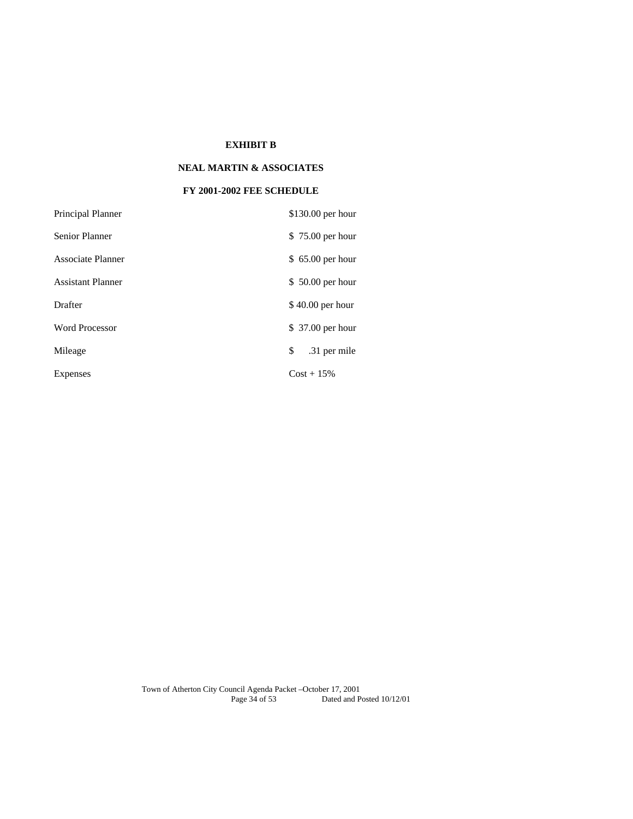## **EXHIBIT B**

## **NEAL MARTIN & ASSOCIATES**

## **FY 2001-2002 FEE SCHEDULE**

| Principal Planner        | \$130.00 per hour  |
|--------------------------|--------------------|
| <b>Senior Planner</b>    | \$75.00 per hour   |
| Associate Planner        | \$ 65.00 per hour  |
| <b>Assistant Planner</b> | \$50.00 per hour   |
| Drafter                  | $$40.00$ per hour  |
| <b>Word Processor</b>    | \$ 37.00 per hour  |
| Mileage                  | \$<br>.31 per mile |
| Expenses                 | $Cost + 15\%$      |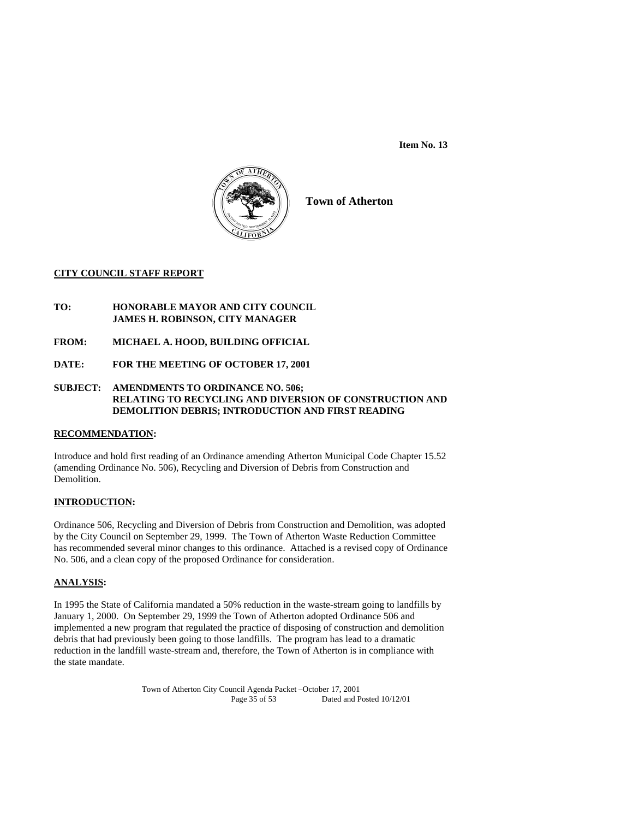**Item No. 13** 



**Town of Atherton**

## **CITY COUNCIL STAFF REPORT**

## **TO: HONORABLE MAYOR AND CITY COUNCIL JAMES H. ROBINSON, CITY MANAGER**

- **FROM: MICHAEL A. HOOD, BUILDING OFFICIAL**
- **DATE: FOR THE MEETING OF OCTOBER 17, 2001**

## **SUBJECT: AMENDMENTS TO ORDINANCE NO. 506; RELATING TO RECYCLING AND DIVERSION OF CONSTRUCTION AND DEMOLITION DEBRIS; INTRODUCTION AND FIRST READING**

## **RECOMMENDATION:**

Introduce and hold first reading of an Ordinance amending Atherton Municipal Code Chapter 15.52 (amending Ordinance No. 506), Recycling and Diversion of Debris from Construction and Demolition.

## **INTRODUCTION:**

Ordinance 506, Recycling and Diversion of Debris from Construction and Demolition, was adopted by the City Council on September 29, 1999. The Town of Atherton Waste Reduction Committee has recommended several minor changes to this ordinance. Attached is a revised copy of Ordinance No. 506, and a clean copy of the proposed Ordinance for consideration.

## **ANALYSIS:**

In 1995 the State of California mandated a 50% reduction in the waste-stream going to landfills by January 1, 2000. On September 29, 1999 the Town of Atherton adopted Ordinance 506 and implemented a new program that regulated the practice of disposing of construction and demolition debris that had previously been going to those landfills. The program has lead to a dramatic reduction in the landfill waste-stream and, therefore, the Town of Atherton is in compliance with the state mandate.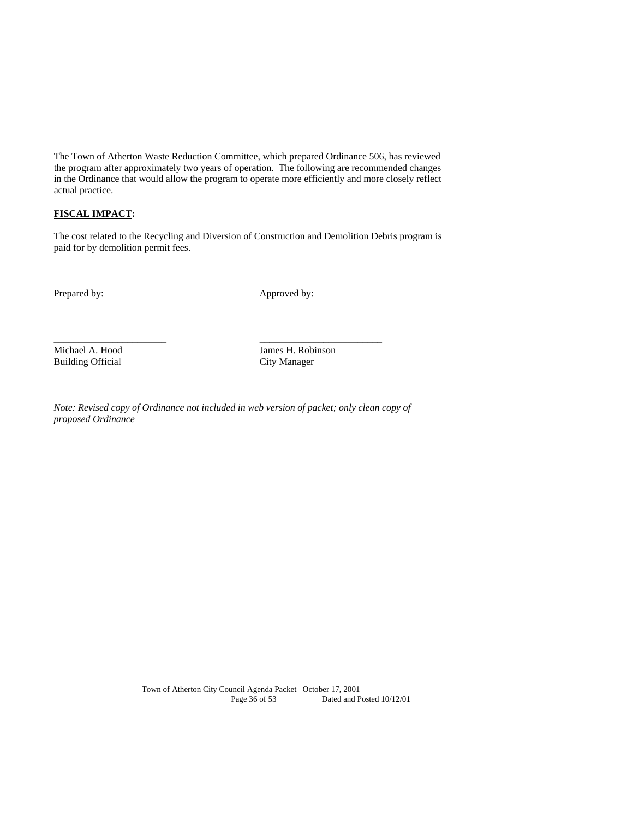The Town of Atherton Waste Reduction Committee, which prepared Ordinance 506, has reviewed the program after approximately two years of operation. The following are recommended changes in the Ordinance that would allow the program to operate more efficiently and more closely reflect actual practice.

## **FISCAL IMPACT:**

The cost related to the Recycling and Diversion of Construction and Demolition Debris program is paid for by demolition permit fees.

Prepared by: Approved by:

Building Official

Michael A. Hood James H. Robinson<br>Building Official City Manager

*Note: Revised copy of Ordinance not included in web version of packet; only clean copy of proposed Ordinance* 

\_\_\_\_\_\_\_\_\_\_\_\_\_\_\_\_\_\_\_\_\_\_\_ \_\_\_\_\_\_\_\_\_\_\_\_\_\_\_\_\_\_\_\_\_\_\_\_\_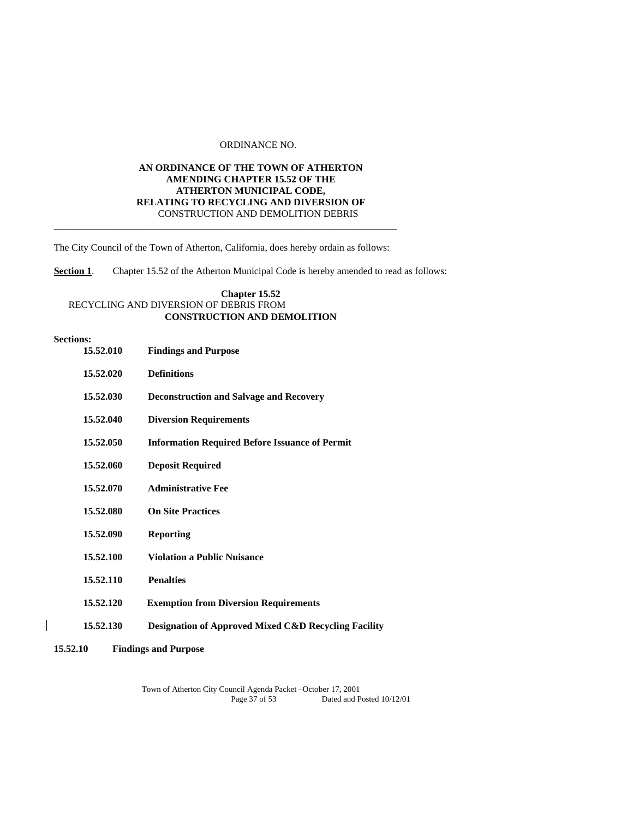## ORDINANCE NO.

## **AN ORDINANCE OF THE TOWN OF ATHERTON AMENDING CHAPTER 15.52 OF THE ATHERTON MUNICIPAL CODE, RELATING TO RECYCLING AND DIVERSION OF** CONSTRUCTION AND DEMOLITION DEBRIS **\_\_\_\_\_\_\_\_\_\_\_\_\_\_\_\_\_\_\_\_\_\_\_\_\_\_\_\_\_\_\_\_\_\_\_\_\_\_\_\_\_\_\_\_\_\_\_\_\_\_\_\_\_\_\_\_\_\_\_\_\_\_\_\_\_\_\_\_\_\_**

The City Council of the Town of Atherton, California, does hereby ordain as follows:

**Section 1**. Chapter 15.52 of the Atherton Municipal Code is hereby amended to read as follows:

## **Chapter 15.52** RECYCLING AND DIVERSION OF DEBRIS FROM **CONSTRUCTION AND DEMOLITION**

#### **Sections:**

| 15.52.010 | <b>Findings and Purpose</b>                                     |
|-----------|-----------------------------------------------------------------|
| 15.52.020 | <b>Definitions</b>                                              |
| 15.52.030 | <b>Deconstruction and Salvage and Recovery</b>                  |
| 15.52.040 | <b>Diversion Requirements</b>                                   |
| 15.52.050 | <b>Information Required Before Issuance of Permit</b>           |
| 15.52.060 | <b>Deposit Required</b>                                         |
| 15.52.070 | <b>Administrative Fee</b>                                       |
| 15.52.080 | <b>On Site Practices</b>                                        |
| 15.52.090 | <b>Reporting</b>                                                |
| 15.52.100 | <b>Violation a Public Nuisance</b>                              |
| 15.52.110 | <b>Penalties</b>                                                |
| 15.52.120 | <b>Exemption from Diversion Requirements</b>                    |
| 15.52.130 | <b>Designation of Approved Mixed C&amp;D Recycling Facility</b> |
|           |                                                                 |

**15.52.10 Findings and Purpose**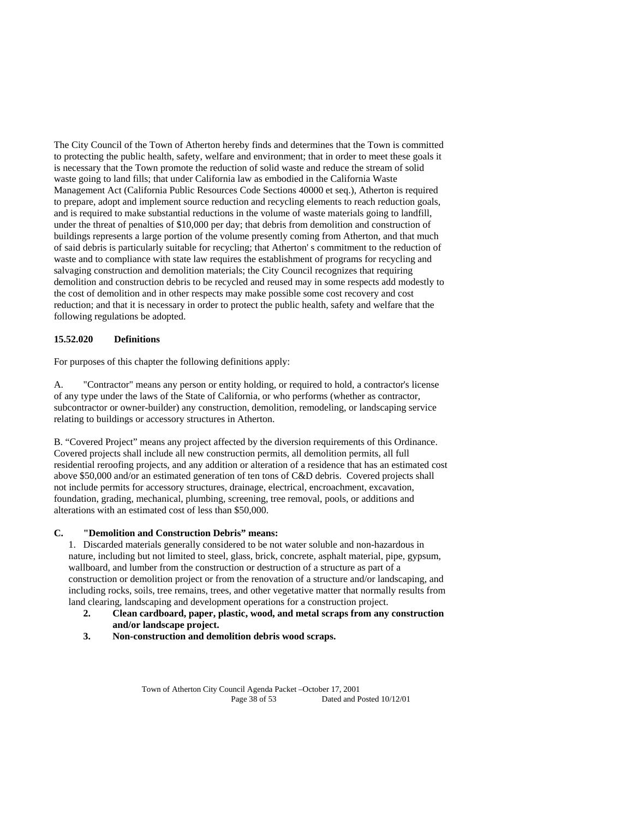The City Council of the Town of Atherton hereby finds and determines that the Town is committed to protecting the public health, safety, welfare and environment; that in order to meet these goals it is necessary that the Town promote the reduction of solid waste and reduce the stream of solid waste going to land fills; that under California law as embodied in the California Waste Management Act (California Public Resources Code Sections 40000 et seq.), Atherton is required to prepare, adopt and implement source reduction and recycling elements to reach reduction goals, and is required to make substantial reductions in the volume of waste materials going to landfill, under the threat of penalties of \$10,000 per day; that debris from demolition and construction of buildings represents a large portion of the volume presently coming from Atherton, and that much of said debris is particularly suitable for recycling; that Atherton' s commitment to the reduction of waste and to compliance with state law requires the establishment of programs for recycling and salvaging construction and demolition materials; the City Council recognizes that requiring demolition and construction debris to be recycled and reused may in some respects add modestly to the cost of demolition and in other respects may make possible some cost recovery and cost reduction; and that it is necessary in order to protect the public health, safety and welfare that the following regulations be adopted.

## **15.52.020 Definitions**

For purposes of this chapter the following definitions apply:

A. "Contractor" means any person or entity holding, or required to hold, a contractor's license of any type under the laws of the State of California, or who performs (whether as contractor, subcontractor or owner-builder) any construction, demolition, remodeling, or landscaping service relating to buildings or accessory structures in Atherton.

B. "Covered Project" means any project affected by the diversion requirements of this Ordinance. Covered projects shall include all new construction permits, all demolition permits, all full residential reroofing projects, and any addition or alteration of a residence that has an estimated cost above \$50,000 and/or an estimated generation of ten tons of C&D debris. Covered projects shall not include permits for accessory structures, drainage, electrical, encroachment, excavation, foundation, grading, mechanical, plumbing, screening, tree removal, pools, or additions and alterations with an estimated cost of less than \$50,000.

## **C. "Demolition and Construction Debris" means:**

1. Discarded materials generally considered to be not water soluble and non-hazardous in nature, including but not limited to steel, glass, brick, concrete, asphalt material, pipe, gypsum, wallboard, and lumber from the construction or destruction of a structure as part of a construction or demolition project or from the renovation of a structure and/or landscaping, and including rocks, soils, tree remains, trees, and other vegetative matter that normally results from land clearing, landscaping and development operations for a construction project.<br>2. Clean cardboard, paper, plastic, wood, and metal scraps from any

- **2. Clean cardboard, paper, plastic, wood, and metal scraps from any construction and/or landscape project.**
- **3. Non-construction and demolition debris wood scraps.**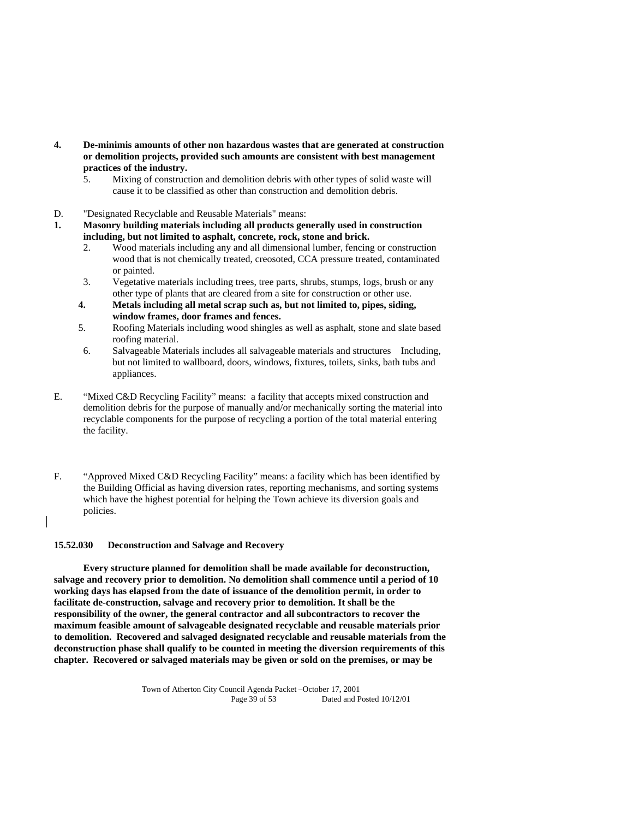- **4. De-minimis amounts of other non hazardous wastes that are generated at construction or demolition projects, provided such amounts are consistent with best management practices of the industry.** 
	- 5. Mixing of construction and demolition debris with other types of solid waste will cause it to be classified as other than construction and demolition debris.
- D. "Designated Recyclable and Reusable Materials" means:
- **1. Masonry building materials including all products generally used in construction including, but not limited to asphalt, concrete, rock, stone and brick.** 
	- 2. Wood materials including any and all dimensional lumber, fencing or construction wood that is not chemically treated, creosoted, CCA pressure treated, contaminated or painted.
	- 3. Vegetative materials including trees, tree parts, shrubs, stumps, logs, brush or any other type of plants that are cleared from a site for construction or other use.
	- **4. Metals including all metal scrap such as, but not limited to, pipes, siding, window frames, door frames and fences.**
	- 5. Roofing Materials including wood shingles as well as asphalt, stone and slate based roofing material.
	- 6. Salvageable Materials includes all salvageable materials and structures Including, but not limited to wallboard, doors, windows, fixtures, toilets, sinks, bath tubs and appliances.
- E. "Mixed C&D Recycling Facility" means: a facility that accepts mixed construction and demolition debris for the purpose of manually and/or mechanically sorting the material into recyclable components for the purpose of recycling a portion of the total material entering the facility.
- F. "Approved Mixed C&D Recycling Facility" means: a facility which has been identified by the Building Official as having diversion rates, reporting mechanisms, and sorting systems which have the highest potential for helping the Town achieve its diversion goals and policies.

## **15.52.030 Deconstruction and Salvage and Recovery**

 **Every structure planned for demolition shall be made available for deconstruction, salvage and recovery prior to demolition. No demolition shall commence until a period of 10 working days has elapsed from the date of issuance of the demolition permit, in order to facilitate de-construction, salvage and recovery prior to demolition. It shall be the responsibility of the owner, the general contractor and all subcontractors to recover the maximum feasible amount of salvageable designated recyclable and reusable materials prior to demolition. Recovered and salvaged designated recyclable and reusable materials from the deconstruction phase shall qualify to be counted in meeting the diversion requirements of this chapter. Recovered or salvaged materials may be given or sold on the premises, or may be**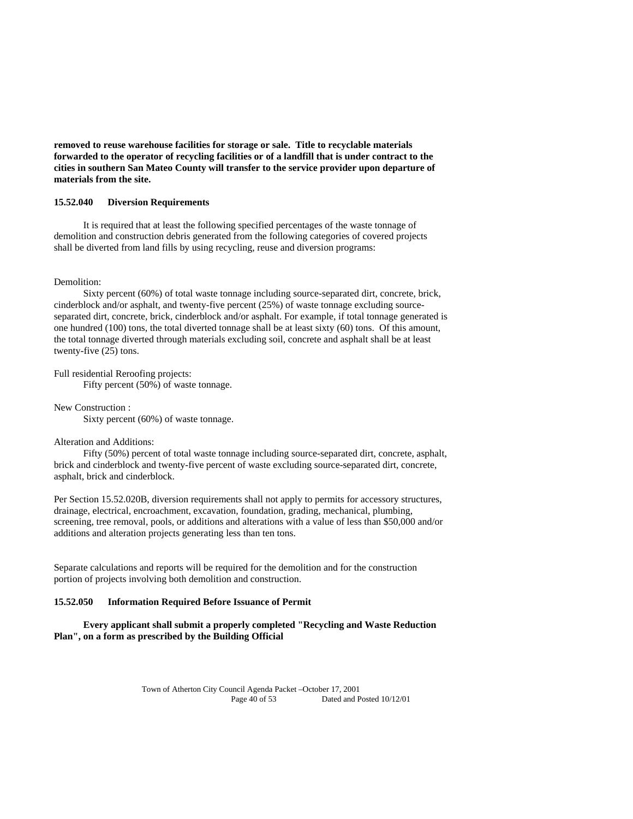**removed to reuse warehouse facilities for storage or sale. Title to recyclable materials forwarded to the operator of recycling facilities or of a landfill that is under contract to the cities in southern San Mateo County will transfer to the service provider upon departure of materials from the site.** 

### **15.52.040 Diversion Requirements**

 It is required that at least the following specified percentages of the waste tonnage of demolition and construction debris generated from the following categories of covered projects shall be diverted from land fills by using recycling, reuse and diversion programs:

#### Demolition:

 Sixty percent (60%) of total waste tonnage including source-separated dirt, concrete, brick, cinderblock and/or asphalt, and twenty-five percent (25%) of waste tonnage excluding sourceseparated dirt, concrete, brick, cinderblock and/or asphalt. For example, if total tonnage generated is one hundred (100) tons, the total diverted tonnage shall be at least sixty (60) tons. Of this amount, the total tonnage diverted through materials excluding soil, concrete and asphalt shall be at least twenty-five (25) tons.

Full residential Reroofing projects:

Fifty percent (50%) of waste tonnage.

New Construction :

Sixty percent (60%) of waste tonnage.

## Alteration and Additions:

 Fifty (50%) percent of total waste tonnage including source-separated dirt, concrete, asphalt, brick and cinderblock and twenty-five percent of waste excluding source-separated dirt, concrete, asphalt, brick and cinderblock.

Per Section 15.52.020B, diversion requirements shall not apply to permits for accessory structures, drainage, electrical, encroachment, excavation, foundation, grading, mechanical, plumbing, screening, tree removal, pools, or additions and alterations with a value of less than \$50,000 and/or additions and alteration projects generating less than ten tons.

Separate calculations and reports will be required for the demolition and for the construction portion of projects involving both demolition and construction.

#### **15.52.050 Information Required Before Issuance of Permit**

 **Every applicant shall submit a properly completed "Recycling and Waste Reduction Plan", on a form as prescribed by the Building Official**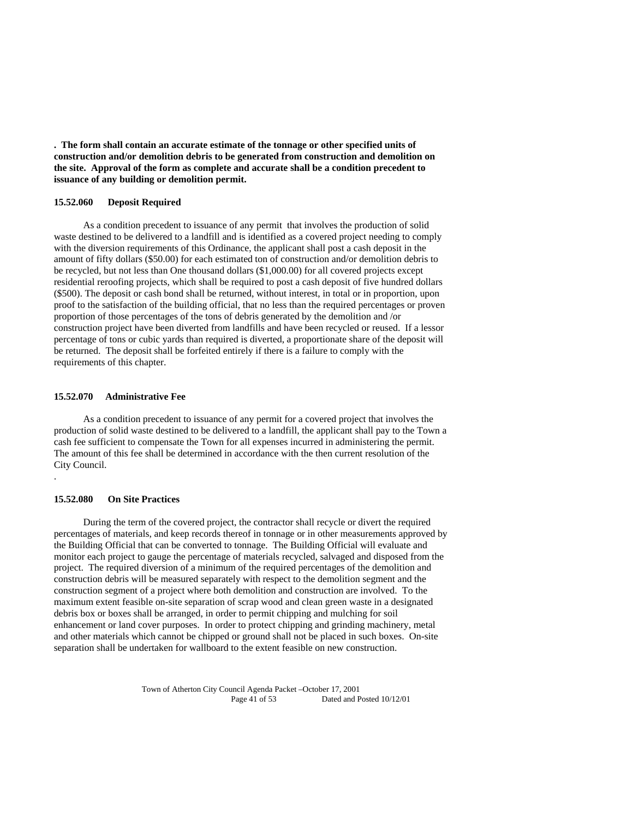**. The form shall contain an accurate estimate of the tonnage or other specified units of construction and/or demolition debris to be generated from construction and demolition on the site. Approval of the form as complete and accurate shall be a condition precedent to issuance of any building or demolition permit.** 

### **15.52.060 Deposit Required**

 As a condition precedent to issuance of any permit that involves the production of solid waste destined to be delivered to a landfill and is identified as a covered project needing to comply with the diversion requirements of this Ordinance, the applicant shall post a cash deposit in the amount of fifty dollars (\$50.00) for each estimated ton of construction and/or demolition debris to be recycled, but not less than One thousand dollars (\$1,000.00) for all covered projects except residential reroofing projects, which shall be required to post a cash deposit of five hundred dollars (\$500). The deposit or cash bond shall be returned, without interest, in total or in proportion, upon proof to the satisfaction of the building official, that no less than the required percentages or proven proportion of those percentages of the tons of debris generated by the demolition and /or construction project have been diverted from landfills and have been recycled or reused. If a lessor percentage of tons or cubic yards than required is diverted, a proportionate share of the deposit will be returned. The deposit shall be forfeited entirely if there is a failure to comply with the requirements of this chapter.

#### **15.52.070 Administrative Fee**

 As a condition precedent to issuance of any permit for a covered project that involves the production of solid waste destined to be delivered to a landfill, the applicant shall pay to the Town a cash fee sufficient to compensate the Town for all expenses incurred in administering the permit. The amount of this fee shall be determined in accordance with the then current resolution of the City Council.

#### **15.52.080 On Site Practices**

.

 During the term of the covered project, the contractor shall recycle or divert the required percentages of materials, and keep records thereof in tonnage or in other measurements approved by the Building Official that can be converted to tonnage. The Building Official will evaluate and monitor each project to gauge the percentage of materials recycled, salvaged and disposed from the project. The required diversion of a minimum of the required percentages of the demolition and construction debris will be measured separately with respect to the demolition segment and the construction segment of a project where both demolition and construction are involved. To the maximum extent feasible on-site separation of scrap wood and clean green waste in a designated debris box or boxes shall be arranged, in order to permit chipping and mulching for soil enhancement or land cover purposes. In order to protect chipping and grinding machinery, metal and other materials which cannot be chipped or ground shall not be placed in such boxes. On-site separation shall be undertaken for wallboard to the extent feasible on new construction.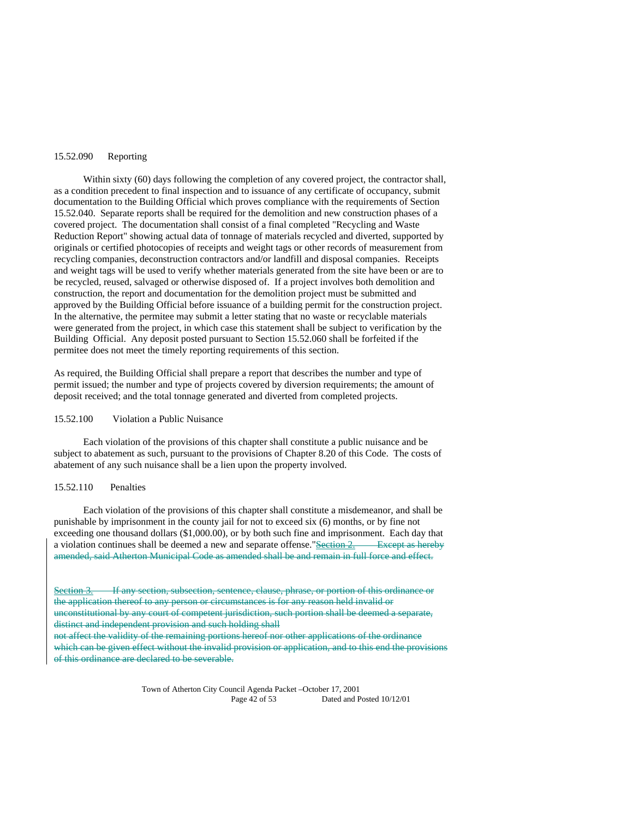#### 15.52.090 Reporting

Within sixty (60) days following the completion of any covered project, the contractor shall, as a condition precedent to final inspection and to issuance of any certificate of occupancy, submit documentation to the Building Official which proves compliance with the requirements of Section 15.52.040. Separate reports shall be required for the demolition and new construction phases of a covered project. The documentation shall consist of a final completed "Recycling and Waste Reduction Report" showing actual data of tonnage of materials recycled and diverted, supported by originals or certified photocopies of receipts and weight tags or other records of measurement from recycling companies, deconstruction contractors and/or landfill and disposal companies. Receipts and weight tags will be used to verify whether materials generated from the site have been or are to be recycled, reused, salvaged or otherwise disposed of. If a project involves both demolition and construction, the report and documentation for the demolition project must be submitted and approved by the Building Official before issuance of a building permit for the construction project. In the alternative, the permitee may submit a letter stating that no waste or recyclable materials were generated from the project, in which case this statement shall be subject to verification by the Building Official. Any deposit posted pursuant to Section 15.52.060 shall be forfeited if the permitee does not meet the timely reporting requirements of this section.

As required, the Building Official shall prepare a report that describes the number and type of permit issued; the number and type of projects covered by diversion requirements; the amount of deposit received; and the total tonnage generated and diverted from completed projects.

#### 15.52.100 Violation a Public Nuisance

 Each violation of the provisions of this chapter shall constitute a public nuisance and be subject to abatement as such, pursuant to the provisions of Chapter 8.20 of this Code. The costs of abatement of any such nuisance shall be a lien upon the property involved.

#### 15.52.110 Penalties

 Each violation of the provisions of this chapter shall constitute a misdemeanor, and shall be punishable by imprisonment in the county jail for not to exceed six (6) months, or by fine not exceeding one thousand dollars (\$1,000.00), or by both such fine and imprisonment. Each day that a violation continues shall be deemed a new and separate offense."Section  $2.$  Except as hereby amended, said Atherton Municipal Code as amended shall be and remain in full force and effect.

If any section, subsection, sentence, clause, phrase, or portion of this ordinance or the application thereof to any person or circumstances is for any reason held invalid or unconstitutional by any court of competent jurisdiction, such portion shall be deemed a separate, distinct and independent provision and such holding shall

not affect the validity of the remaining portions hereof nor other applications of the ordinance which can be given effect without the invalid provision or application, and to this end the provisions of this ordinance are declared to be severable.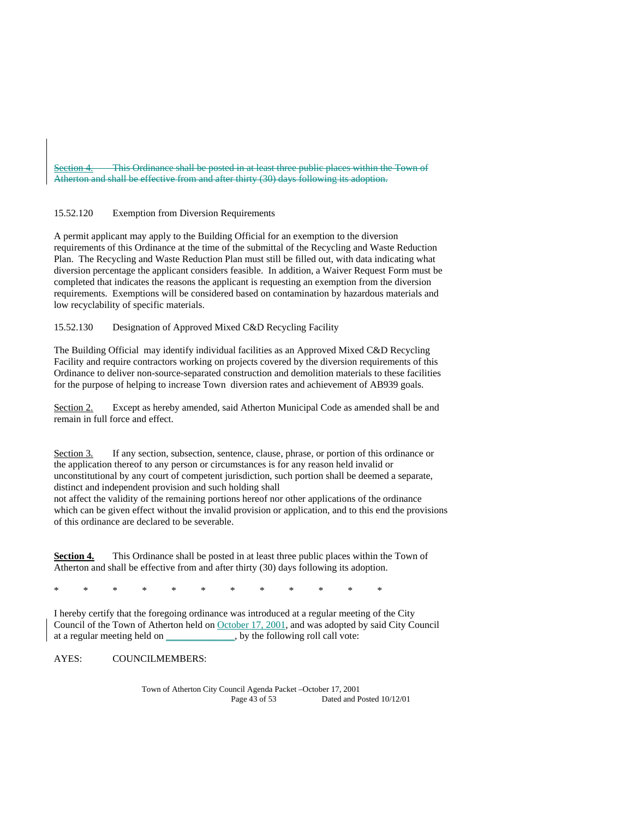This Ordinance shall be posted in at least three public places within the Town of Atherton and shall be effective from and after thirty (30) days following its adoption.

## 15.52.120 Exemption from Diversion Requirements

A permit applicant may apply to the Building Official for an exemption to the diversion requirements of this Ordinance at the time of the submittal of the Recycling and Waste Reduction Plan. The Recycling and Waste Reduction Plan must still be filled out, with data indicating what diversion percentage the applicant considers feasible. In addition, a Waiver Request Form must be completed that indicates the reasons the applicant is requesting an exemption from the diversion requirements. Exemptions will be considered based on contamination by hazardous materials and low recyclability of specific materials.

15.52.130 Designation of Approved Mixed C&D Recycling Facility

The Building Official may identify individual facilities as an Approved Mixed C&D Recycling Facility and require contractors working on projects covered by the diversion requirements of this Ordinance to deliver non-source-separated construction and demolition materials to these facilities for the purpose of helping to increase Town diversion rates and achievement of AB939 goals.

Section 2. Except as hereby amended, said Atherton Municipal Code as amended shall be and remain in full force and effect.

Section 3. If any section, subsection, sentence, clause, phrase, or portion of this ordinance or the application thereof to any person or circumstances is for any reason held invalid or unconstitutional by any court of competent jurisdiction, such portion shall be deemed a separate, distinct and independent provision and such holding shall

not affect the validity of the remaining portions hereof nor other applications of the ordinance which can be given effect without the invalid provision or application, and to this end the provisions of this ordinance are declared to be severable.

**Section 4.** This Ordinance shall be posted in at least three public places within the Town of Atherton and shall be effective from and after thirty (30) days following its adoption.

\* \* \* \* \* \* \* \* \* \* \* \*

I hereby certify that the foregoing ordinance was introduced at a regular meeting of the City Council of the Town of Atherton held on October 17, 2001, and was adopted by said City Council at a regular meeting held on \_\_\_\_\_\_\_\_\_\_\_\_, by the following roll call vote:

AYES: COUNCILMEMBERS: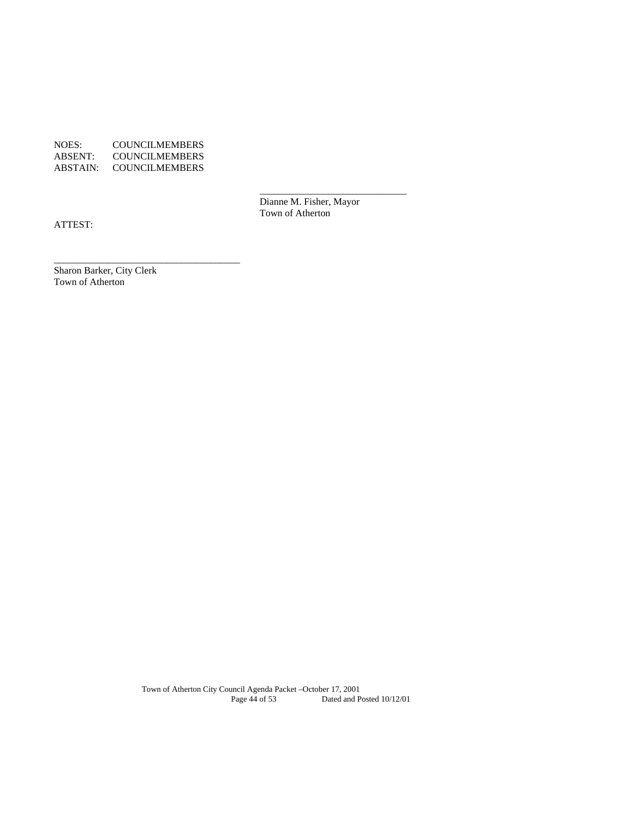NOES: COUNCILMEMBERS ABSENT: COUNCILMEMBERS ABSTAIN: COUNCILMEMBERS

\_\_\_\_\_\_\_\_\_\_\_\_\_\_\_\_\_\_\_\_\_\_\_\_\_\_\_\_\_\_\_\_\_\_\_\_\_\_

 Dianne M. Fisher, Mayor Town of Atherton

 $\overline{\phantom{a}}$  , and the state of the state of the state of the state of the state of the state of the state of the state of the state of the state of the state of the state of the state of the state of the state of the stat

ATTEST:

Sharon Barker, City Clerk Town of Atherton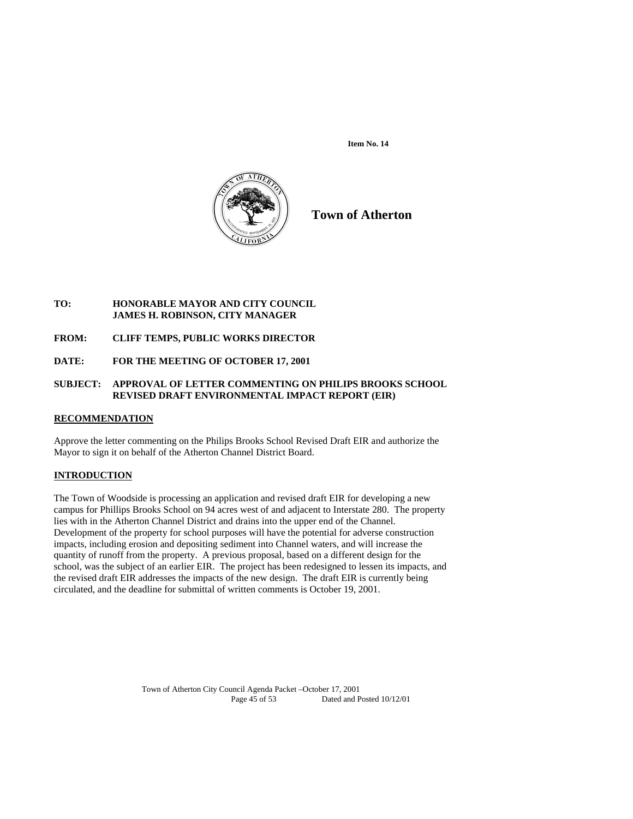**Item No. 14** 



**Town of Atherton**

## **TO: HONORABLE MAYOR AND CITY COUNCIL JAMES H. ROBINSON, CITY MANAGER**

**FROM: CLIFF TEMPS, PUBLIC WORKS DIRECTOR** 

**DATE: FOR THE MEETING OF OCTOBER 17, 2001** 

## **SUBJECT: APPROVAL OF LETTER COMMENTING ON PHILIPS BROOKS SCHOOL REVISED DRAFT ENVIRONMENTAL IMPACT REPORT (EIR)**

## **RECOMMENDATION**

Approve the letter commenting on the Philips Brooks School Revised Draft EIR and authorize the Mayor to sign it on behalf of the Atherton Channel District Board.

## **INTRODUCTION**

The Town of Woodside is processing an application and revised draft EIR for developing a new campus for Phillips Brooks School on 94 acres west of and adjacent to Interstate 280. The property lies with in the Atherton Channel District and drains into the upper end of the Channel. Development of the property for school purposes will have the potential for adverse construction impacts, including erosion and depositing sediment into Channel waters, and will increase the quantity of runoff from the property. A previous proposal, based on a different design for the school, was the subject of an earlier EIR. The project has been redesigned to lessen its impacts, and the revised draft EIR addresses the impacts of the new design. The draft EIR is currently being circulated, and the deadline for submittal of written comments is October 19, 2001.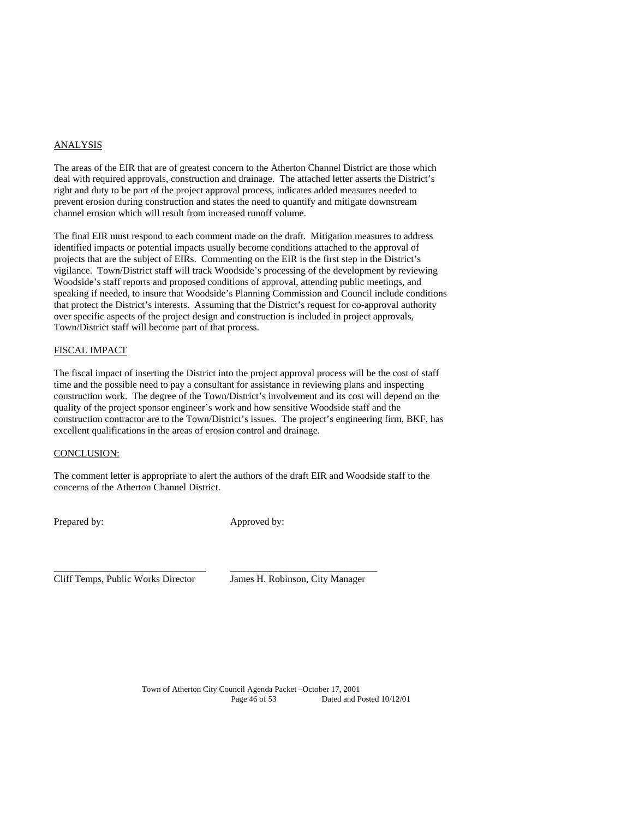### ANALYSIS

The areas of the EIR that are of greatest concern to the Atherton Channel District are those which deal with required approvals, construction and drainage. The attached letter asserts the District's right and duty to be part of the project approval process, indicates added measures needed to prevent erosion during construction and states the need to quantify and mitigate downstream channel erosion which will result from increased runoff volume.

The final EIR must respond to each comment made on the draft. Mitigation measures to address identified impacts or potential impacts usually become conditions attached to the approval of projects that are the subject of EIRs. Commenting on the EIR is the first step in the District's vigilance. Town/District staff will track Woodside's processing of the development by reviewing Woodside's staff reports and proposed conditions of approval, attending public meetings, and speaking if needed, to insure that Woodside's Planning Commission and Council include conditions that protect the District's interests. Assuming that the District's request for co-approval authority over specific aspects of the project design and construction is included in project approvals, Town/District staff will become part of that process.

## FISCAL IMPACT

The fiscal impact of inserting the District into the project approval process will be the cost of staff time and the possible need to pay a consultant for assistance in reviewing plans and inspecting construction work. The degree of the Town/District's involvement and its cost will depend on the quality of the project sponsor engineer's work and how sensitive Woodside staff and the construction contractor are to the Town/District's issues. The project's engineering firm, BKF, has excellent qualifications in the areas of erosion control and drainage.

## CONCLUSION:

The comment letter is appropriate to alert the authors of the draft EIR and Woodside staff to the concerns of the Atherton Channel District.

\_\_\_\_\_\_\_\_\_\_\_\_\_\_\_\_\_\_\_\_\_\_\_\_\_\_\_\_\_\_\_ \_\_\_\_\_\_\_\_\_\_\_\_\_\_\_\_\_\_\_\_\_\_\_\_\_\_\_\_\_\_

Prepared by: Approved by:

Cliff Temps, Public Works Director James H. Robinson, City Manager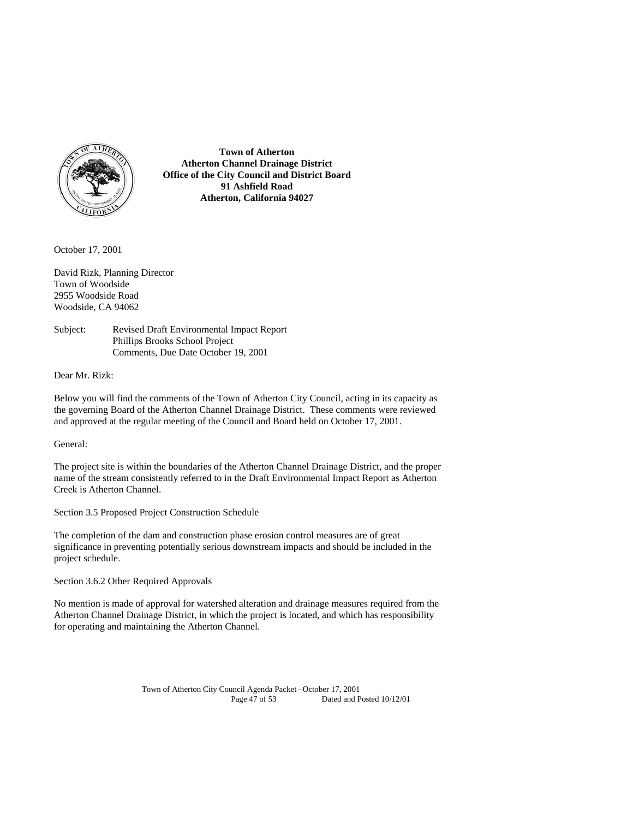

**Town of Atherton Atherton Channel Drainage District Office of the City Council and District Board 91 Ashfield Road Atherton, California 94027** 

October 17, 2001

David Rizk, Planning Director Town of Woodside 2955 Woodside Road Woodside, CA 94062

Subject: Revised Draft Environmental Impact Report Phillips Brooks School Project Comments, Due Date October 19, 2001

Dear Mr. Rizk:

Below you will find the comments of the Town of Atherton City Council, acting in its capacity as the governing Board of the Atherton Channel Drainage District. These comments were reviewed and approved at the regular meeting of the Council and Board held on October 17, 2001.

General:

The project site is within the boundaries of the Atherton Channel Drainage District, and the proper name of the stream consistently referred to in the Draft Environmental Impact Report as Atherton Creek is Atherton Channel.

Section 3.5 Proposed Project Construction Schedule

The completion of the dam and construction phase erosion control measures are of great significance in preventing potentially serious downstream impacts and should be included in the project schedule.

Section 3.6.2 Other Required Approvals

No mention is made of approval for watershed alteration and drainage measures required from the Atherton Channel Drainage District, in which the project is located, and which has responsibility for operating and maintaining the Atherton Channel.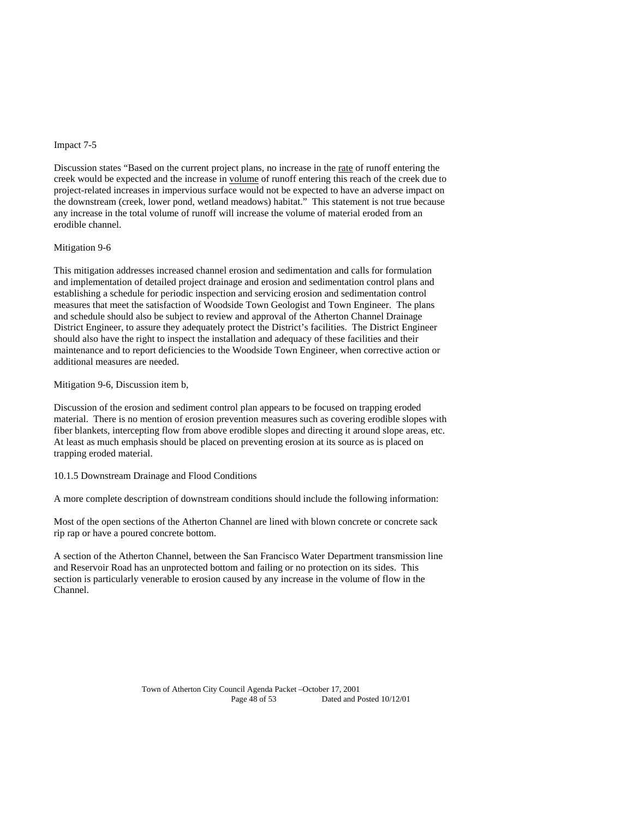#### Impact 7-5

Discussion states "Based on the current project plans, no increase in the rate of runoff entering the creek would be expected and the increase in volume of runoff entering this reach of the creek due to project-related increases in impervious surface would not be expected to have an adverse impact on the downstream (creek, lower pond, wetland meadows) habitat." This statement is not true because any increase in the total volume of runoff will increase the volume of material eroded from an erodible channel.

#### Mitigation 9-6

This mitigation addresses increased channel erosion and sedimentation and calls for formulation and implementation of detailed project drainage and erosion and sedimentation control plans and establishing a schedule for periodic inspection and servicing erosion and sedimentation control measures that meet the satisfaction of Woodside Town Geologist and Town Engineer. The plans and schedule should also be subject to review and approval of the Atherton Channel Drainage District Engineer, to assure they adequately protect the District's facilities. The District Engineer should also have the right to inspect the installation and adequacy of these facilities and their maintenance and to report deficiencies to the Woodside Town Engineer, when corrective action or additional measures are needed.

Mitigation 9-6, Discussion item b,

Discussion of the erosion and sediment control plan appears to be focused on trapping eroded material. There is no mention of erosion prevention measures such as covering erodible slopes with fiber blankets, intercepting flow from above erodible slopes and directing it around slope areas, etc. At least as much emphasis should be placed on preventing erosion at its source as is placed on trapping eroded material.

10.1.5 Downstream Drainage and Flood Conditions

A more complete description of downstream conditions should include the following information:

Most of the open sections of the Atherton Channel are lined with blown concrete or concrete sack rip rap or have a poured concrete bottom.

A section of the Atherton Channel, between the San Francisco Water Department transmission line and Reservoir Road has an unprotected bottom and failing or no protection on its sides. This section is particularly venerable to erosion caused by any increase in the volume of flow in the Channel.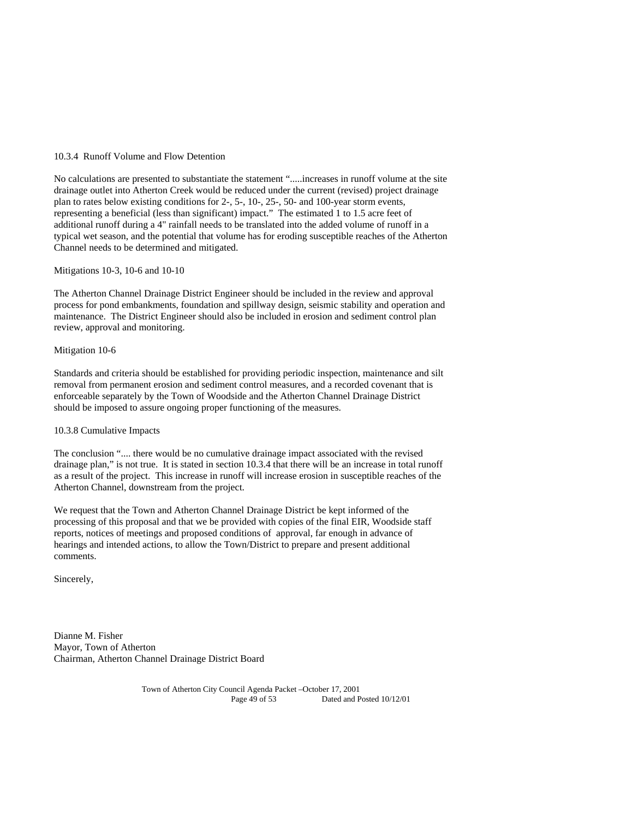#### 10.3.4 Runoff Volume and Flow Detention

No calculations are presented to substantiate the statement ".....increases in runoff volume at the site drainage outlet into Atherton Creek would be reduced under the current (revised) project drainage plan to rates below existing conditions for 2-, 5-, 10-, 25-, 50- and 100-year storm events, representing a beneficial (less than significant) impact." The estimated 1 to 1.5 acre feet of additional runoff during a 4" rainfall needs to be translated into the added volume of runoff in a typical wet season, and the potential that volume has for eroding susceptible reaches of the Atherton Channel needs to be determined and mitigated.

Mitigations 10-3, 10-6 and 10-10

The Atherton Channel Drainage District Engineer should be included in the review and approval process for pond embankments, foundation and spillway design, seismic stability and operation and maintenance. The District Engineer should also be included in erosion and sediment control plan review, approval and monitoring.

#### Mitigation 10-6

Standards and criteria should be established for providing periodic inspection, maintenance and silt removal from permanent erosion and sediment control measures, and a recorded covenant that is enforceable separately by the Town of Woodside and the Atherton Channel Drainage District should be imposed to assure ongoing proper functioning of the measures.

10.3.8 Cumulative Impacts

The conclusion ".... there would be no cumulative drainage impact associated with the revised drainage plan," is not true. It is stated in section 10.3.4 that there will be an increase in total runoff as a result of the project. This increase in runoff will increase erosion in susceptible reaches of the Atherton Channel, downstream from the project.

We request that the Town and Atherton Channel Drainage District be kept informed of the processing of this proposal and that we be provided with copies of the final EIR, Woodside staff reports, notices of meetings and proposed conditions of approval, far enough in advance of hearings and intended actions, to allow the Town/District to prepare and present additional comments.

Sincerely,

Dianne M. Fisher Mayor, Town of Atherton Chairman, Atherton Channel Drainage District Board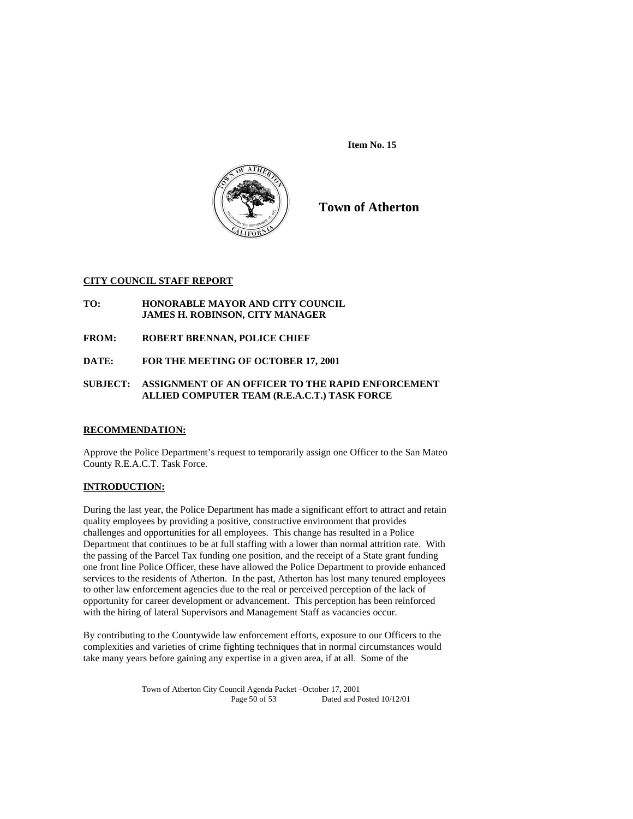**Item No. 15** 



**Town of Atherton**

## **CITY COUNCIL STAFF REPORT**

- **TO: HONORABLE MAYOR AND CITY COUNCIL JAMES H. ROBINSON, CITY MANAGER**
- **FROM: ROBERT BRENNAN, POLICE CHIEF**
- **DATE: FOR THE MEETING OF OCTOBER 17, 2001**

## **SUBJECT: ASSIGNMENT OF AN OFFICER TO THE RAPID ENFORCEMENT ALLIED COMPUTER TEAM (R.E.A.C.T.) TASK FORCE**

## **RECOMMENDATION:**

Approve the Police Department's request to temporarily assign one Officer to the San Mateo County R.E.A.C.T. Task Force.

## **INTRODUCTION:**

During the last year, the Police Department has made a significant effort to attract and retain quality employees by providing a positive, constructive environment that provides challenges and opportunities for all employees. This change has resulted in a Police Department that continues to be at full staffing with a lower than normal attrition rate. With the passing of the Parcel Tax funding one position, and the receipt of a State grant funding one front line Police Officer, these have allowed the Police Department to provide enhanced services to the residents of Atherton. In the past, Atherton has lost many tenured employees to other law enforcement agencies due to the real or perceived perception of the lack of opportunity for career development or advancement. This perception has been reinforced with the hiring of lateral Supervisors and Management Staff as vacancies occur.

By contributing to the Countywide law enforcement efforts, exposure to our Officers to the complexities and varieties of crime fighting techniques that in normal circumstances would take many years before gaining any expertise in a given area, if at all. Some of the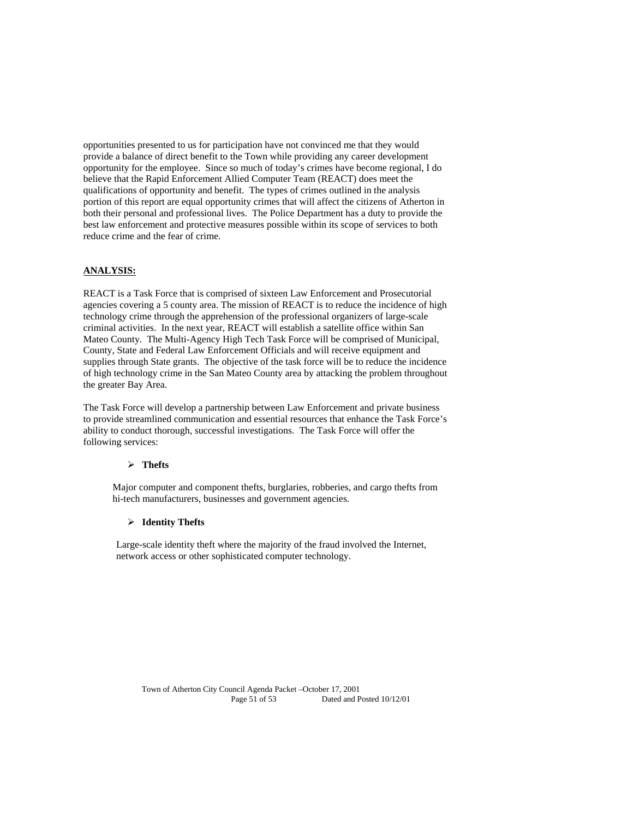opportunities presented to us for participation have not convinced me that they would provide a balance of direct benefit to the Town while providing any career development opportunity for the employee. Since so much of today's crimes have become regional, I do believe that the Rapid Enforcement Allied Computer Team (REACT) does meet the qualifications of opportunity and benefit. The types of crimes outlined in the analysis portion of this report are equal opportunity crimes that will affect the citizens of Atherton in both their personal and professional lives. The Police Department has a duty to provide the best law enforcement and protective measures possible within its scope of services to both reduce crime and the fear of crime.

## **ANALYSIS:**

REACT is a Task Force that is comprised of sixteen Law Enforcement and Prosecutorial agencies covering a 5 county area. The mission of REACT is to reduce the incidence of high technology crime through the apprehension of the professional organizers of large-scale criminal activities. In the next year, REACT will establish a satellite office within San Mateo County. The Multi-Agency High Tech Task Force will be comprised of Municipal, County, State and Federal Law Enforcement Officials and will receive equipment and supplies through State grants. The objective of the task force will be to reduce the incidence of high technology crime in the San Mateo County area by attacking the problem throughout the greater Bay Area.

The Task Force will develop a partnership between Law Enforcement and private business to provide streamlined communication and essential resources that enhance the Task Force's ability to conduct thorough, successful investigations. The Task Force will offer the following services:

### **Thefts**

Major computer and component thefts, burglaries, robberies, and cargo thefts from hi-tech manufacturers, businesses and government agencies.

#### **Identity Thefts**

Large-scale identity theft where the majority of the fraud involved the Internet, network access or other sophisticated computer technology.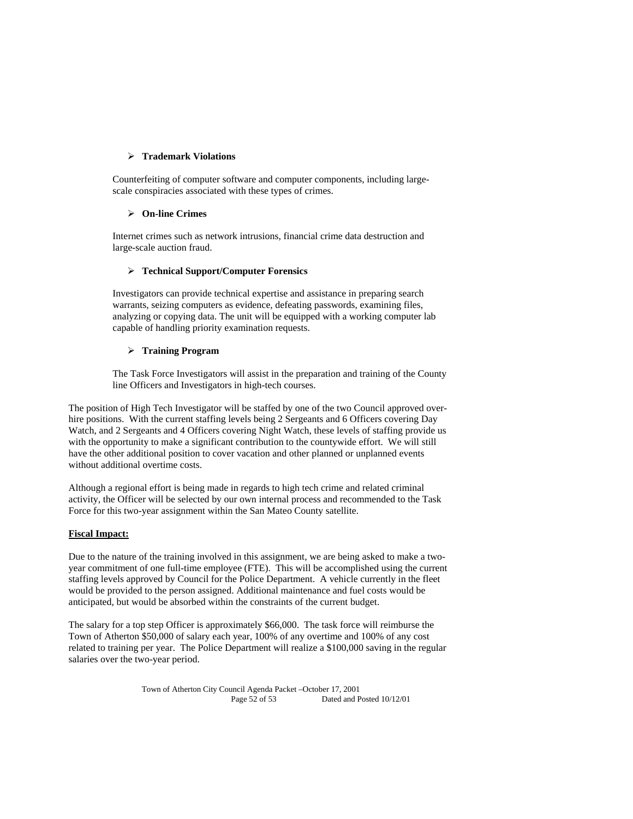## **Trademark Violations**

Counterfeiting of computer software and computer components, including largescale conspiracies associated with these types of crimes.

## **On-line Crimes**

Internet crimes such as network intrusions, financial crime data destruction and large-scale auction fraud.

## **Technical Support/Computer Forensics**

Investigators can provide technical expertise and assistance in preparing search warrants, seizing computers as evidence, defeating passwords, examining files, analyzing or copying data. The unit will be equipped with a working computer lab capable of handling priority examination requests.

## **Training Program**

The Task Force Investigators will assist in the preparation and training of the County line Officers and Investigators in high-tech courses.

The position of High Tech Investigator will be staffed by one of the two Council approved overhire positions. With the current staffing levels being 2 Sergeants and 6 Officers covering Day Watch, and 2 Sergeants and 4 Officers covering Night Watch, these levels of staffing provide us with the opportunity to make a significant contribution to the countywide effort. We will still have the other additional position to cover vacation and other planned or unplanned events without additional overtime costs.

Although a regional effort is being made in regards to high tech crime and related criminal activity, the Officer will be selected by our own internal process and recommended to the Task Force for this two-year assignment within the San Mateo County satellite.

## **Fiscal Impact:**

Due to the nature of the training involved in this assignment, we are being asked to make a twoyear commitment of one full-time employee (FTE). This will be accomplished using the current staffing levels approved by Council for the Police Department. A vehicle currently in the fleet would be provided to the person assigned. Additional maintenance and fuel costs would be anticipated, but would be absorbed within the constraints of the current budget.

The salary for a top step Officer is approximately \$66,000. The task force will reimburse the Town of Atherton \$50,000 of salary each year, 100% of any overtime and 100% of any cost related to training per year. The Police Department will realize a \$100,000 saving in the regular salaries over the two-year period.